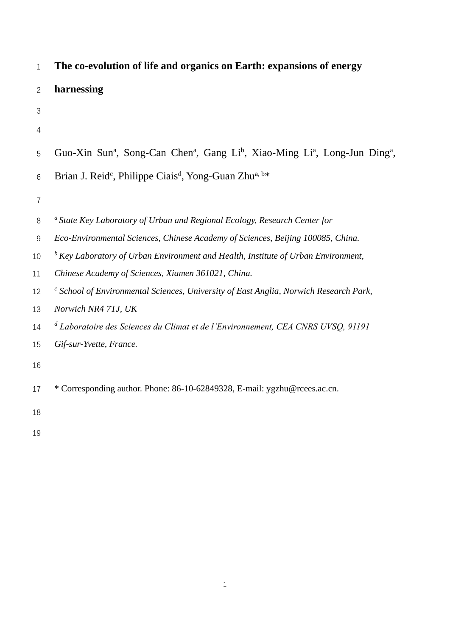| $\mathbf{1}$   | The co-evolution of life and organics on Earth: expansions of energy                                                                    |
|----------------|-----------------------------------------------------------------------------------------------------------------------------------------|
| $\overline{2}$ | harnessing                                                                                                                              |
| 3              |                                                                                                                                         |
| 4              |                                                                                                                                         |
| 5              | Guo-Xin Sun <sup>a</sup> , Song-Can Chen <sup>a</sup> , Gang Li <sup>b</sup> , Xiao-Ming Li <sup>a</sup> , Long-Jun Ding <sup>a</sup> , |
| 6              | Brian J. Reid <sup>c</sup> , Philippe Ciais <sup>d</sup> , Yong-Guan Zhu <sup>a, b*</sup>                                               |
| $\overline{7}$ |                                                                                                                                         |
| 8              | <sup>a</sup> State Key Laboratory of Urban and Regional Ecology, Research Center for                                                    |
| $9\,$          | Eco-Environmental Sciences, Chinese Academy of Sciences, Beijing 100085, China.                                                         |
| 10             | $\frac{b}{c}$ Key Laboratory of Urban Environment and Health, Institute of Urban Environment,                                           |
| 11             | Chinese Academy of Sciences, Xiamen 361021, China.                                                                                      |
| 12             | $\epsilon$ School of Environmental Sciences, University of East Anglia, Norwich Research Park,                                          |
| 13             | Norwich NR4 7TJ, UK                                                                                                                     |
| 14             | <sup>d</sup> Laboratoire des Sciences du Climat et de l'Environnement, CEA CNRS UVSQ, 91191                                             |
| 15             | Gif-sur-Yvette, France.                                                                                                                 |
| 16             |                                                                                                                                         |
| 17             | * Corresponding author. Phone: 86-10-62849328, E-mail: ygzhu@rcees.ac.cn.                                                               |
| 18             |                                                                                                                                         |
| 19             |                                                                                                                                         |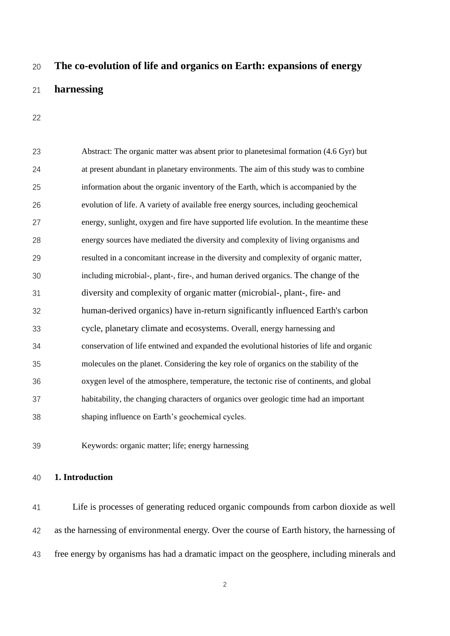# **The co-evolution of life and organics on Earth: expansions of energy**

## **harnessing**

| 23 | Abstract: The organic matter was absent prior to planetesimal formation (4.6 Gyr) but    |
|----|------------------------------------------------------------------------------------------|
| 24 | at present abundant in planetary environments. The aim of this study was to combine      |
| 25 | information about the organic inventory of the Earth, which is accompanied by the        |
| 26 | evolution of life. A variety of available free energy sources, including geochemical     |
| 27 | energy, sunlight, oxygen and fire have supported life evolution. In the meantime these   |
| 28 | energy sources have mediated the diversity and complexity of living organisms and        |
| 29 | resulted in a concomitant increase in the diversity and complexity of organic matter,    |
| 30 | including microbial-, plant-, fire-, and human derived organics. The change of the       |
| 31 | diversity and complexity of organic matter (microbial-, plant-, fire- and                |
| 32 | human-derived organics) have in-return significantly influenced Earth's carbon           |
| 33 | cycle, planetary climate and ecosystems. Overall, energy harnessing and                  |
| 34 | conservation of life entwined and expanded the evolutional histories of life and organic |
| 35 | molecules on the planet. Considering the key role of organics on the stability of the    |
| 36 | oxygen level of the atmosphere, temperature, the tectonic rise of continents, and global |
| 37 | habitability, the changing characters of organics over geologic time had an important    |
| 38 | shaping influence on Earth's geochemical cycles.                                         |

Keywords: organic matter; life; energy harnessing

## **1. Introduction**

 Life is processes of generating reduced organic compounds from carbon dioxide as well as the harnessing of environmental energy. Over the course of Earth history, the harnessing of free energy by organisms has had a dramatic impact on the geosphere, including minerals and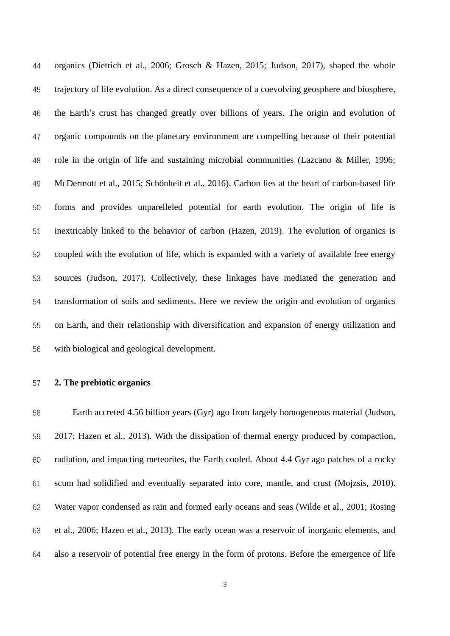organics (Dietrich et al., 2006; Grosch & Hazen, 2015; Judson, 2017), shaped the whole trajectory of life evolution. As a direct consequence of a coevolving geosphere and biosphere, the Earth's crust has changed greatly over billions of years. The origin and evolution of organic compounds on the planetary environment are compelling because of their potential role in the origin of life and sustaining microbial communities (Lazcano & Miller, 1996; McDermott et al., 2015; Schönheit et al., 2016). Carbon lies at the heart of carbon-based life forms and provides unparelleled potential for earth evolution. The origin of life is inextricably linked to the behavior of carbon (Hazen, 2019). The evolution of organics is coupled with the evolution of life, which is expanded with a variety of available free energy sources (Judson, 2017). Collectively, these linkages have mediated the generation and transformation of soils and sediments. Here we review the origin and evolution of organics on Earth, and their relationship with diversification and expansion of energy utilization and with biological and geological development.

#### **2. The prebiotic organics**

 Earth accreted 4.56 billion years (Gyr) ago from largely homogeneous material (Judson, 2017; Hazen et al., 2013). With the dissipation of thermal energy produced by compaction, radiation, and impacting meteorites, the Earth cooled. About 4.4 Gyr ago patches of a rocky scum had solidified and eventually separated into core, mantle, and crust (Mojzsis, 2010). Water vapor condensed as rain and formed early oceans and seas (Wilde et al., 2001; Rosing et al., 2006; Hazen et al., 2013). The early ocean was a reservoir of inorganic elements, and also a reservoir of potential free energy in the form of protons. Before the emergence of life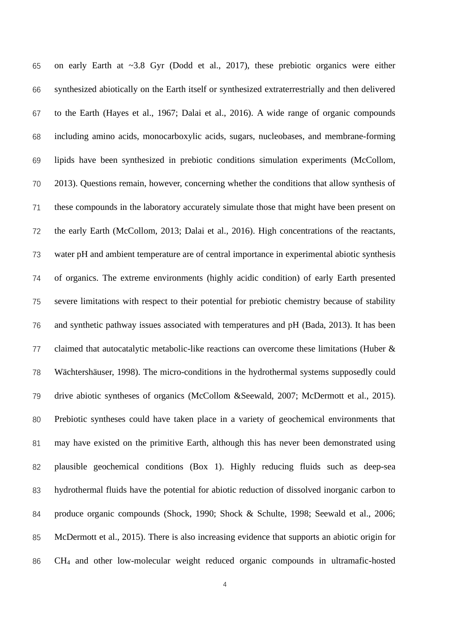on early Earth at ~3.8 Gyr (Dodd et al., 2017), these prebiotic organics were either synthesized abiotically on the Earth itself or synthesized extraterrestrially and then delivered to the Earth (Hayes et al., 1967; Dalai et al., 2016). A wide range of organic compounds including amino acids, monocarboxylic acids, sugars, nucleobases, and membrane-forming lipids have been synthesized in prebiotic conditions simulation experiments (McCollom, 2013). Questions remain, however, concerning whether the conditions that allow synthesis of these compounds in the laboratory accurately simulate those that might have been present on the early Earth (McCollom, 2013; Dalai et al., 2016). High concentrations of the reactants, water pH and ambient temperature are of central importance in experimental abiotic synthesis of organics. The extreme environments (highly acidic condition) of early Earth presented severe limitations with respect to their potential for prebiotic chemistry because of stability and synthetic pathway issues associated with temperatures and pH (Bada, 2013). It has been claimed that autocatalytic metabolic-like reactions can overcome these limitations (Huber & Wächtershäuser, 1998). The micro-conditions in the hydrothermal systems supposedly could drive abiotic syntheses of organics (McCollom &Seewald, 2007; McDermott et al., 2015). Prebiotic syntheses could have taken place in a variety of geochemical environments that may have existed on the primitive Earth, although this has never been demonstrated using plausible geochemical conditions (Box 1). Highly reducing fluids such as deep-sea hydrothermal fluids have the potential for abiotic reduction of dissolved inorganic carbon to produce organic compounds (Shock, 1990; Shock & Schulte, 1998; Seewald et al., 2006; McDermott et al., 2015). There is also increasing evidence that supports an abiotic origin for CH<sup>4</sup> and other low-molecular weight reduced organic compounds in ultramafic-hosted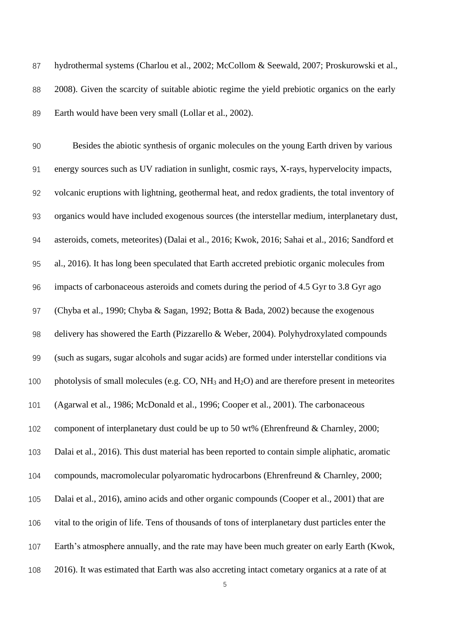87 hydrothermal systems (Charlou et al., 2002; McCollom & Seewald, 2007; Proskurowski et al., 2008). Given the scarcity of suitable abiotic regime the yield prebiotic organics on the early Earth would have been very small (Lollar et al., 2002).

 Besides the abiotic synthesis of organic molecules on the young Earth driven by various energy sources such as UV radiation in sunlight, cosmic rays, X-rays, hypervelocity impacts, volcanic eruptions with lightning, geothermal heat, and redox gradients, the total inventory of organics would have included exogenous sources (the interstellar medium, interplanetary dust, asteroids, comets, meteorites) (Dalai et al., 2016; Kwok, 2016; Sahai et al., 2016; Sandford et al., 2016). It has long been speculated that Earth accreted prebiotic organic molecules from impacts of carbonaceous asteroids and comets during the period of 4.5 Gyr to 3.8 Gyr ago (Chyba et al., 1990; Chyba & Sagan, 1992; Botta & Bada, 2002) because the exogenous delivery has showered the Earth (Pizzarello & Weber, 2004). Polyhydroxylated compounds (such as sugars, sugar alcohols and sugar acids) are formed under interstellar conditions via 100 photolysis of small molecules (e.g. CO, NH<sub>3</sub> and H<sub>2</sub>O) and are therefore present in meteorites (Agarwal et al., 1986; McDonald et al., 1996; Cooper et al., 2001). The carbonaceous component of interplanetary dust could be up to 50 wt% (Ehrenfreund & Charnley, 2000; Dalai et al., 2016). This dust material has been reported to contain simple aliphatic, aromatic compounds, macromolecular polyaromatic hydrocarbons (Ehrenfreund & Charnley, 2000; Dalai et al., 2016), amino acids and other organic compounds (Cooper et al., 2001) that are vital to the origin of life. Tens of thousands of tons of interplanetary dust particles enter the Earth's atmosphere annually, and the rate may have been much greater on early Earth (Kwok, 2016). It was estimated that Earth was also accreting intact cometary organics at a rate of at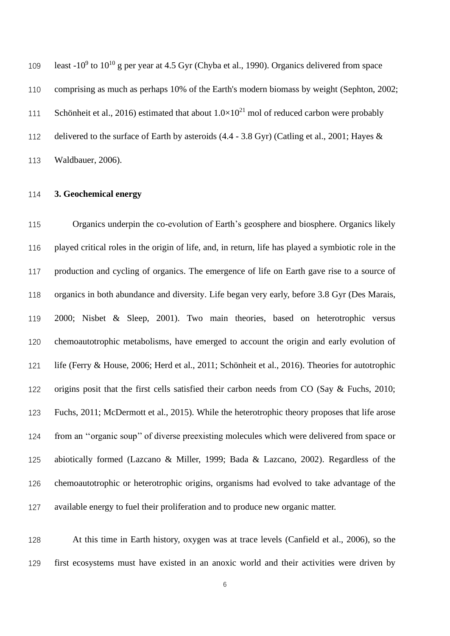109 least -10<sup>9</sup> to 10<sup>10</sup> g per year at 4.5 Gyr (Chyba et al., 1990). Organics delivered from space comprising as much as perhaps 10% of the Earth's modern biomass by weight (Sephton, 2002; 111 Schönheit et al., 2016) estimated that about  $1.0 \times 10^{21}$  mol of reduced carbon were probably delivered to the surface of Earth by asteroids (4.4 - 3.8 Gyr) (Catling et al., 2001; Hayes & Waldbauer, 2006).

## **3. Geochemical energy**

 Organics underpin the co-evolution of Earth's geosphere and biosphere. Organics likely played critical roles in the origin of life, and, in return, life has played a symbiotic role in the production and cycling of organics. The emergence of life on Earth gave rise to a source of organics in both abundance and diversity. Life began very early, before 3.8 Gyr (Des Marais, 2000; Nisbet & Sleep, 2001). Two main theories, based on heterotrophic versus chemoautotrophic metabolisms, have emerged to account the origin and early evolution of life (Ferry & House, 2006; Herd et al., 2011; Schönheit et al., 2016). Theories for autotrophic origins posit that the first cells satisfied their carbon needs from CO (Say & Fuchs, 2010; Fuchs, 2011; McDermott et al., 2015). While the heterotrophic theory proposes that life arose from an ''organic soup'' of diverse preexisting molecules which were delivered from space or abiotically formed (Lazcano & Miller, 1999; Bada & Lazcano, 2002). Regardless of the chemoautotrophic or heterotrophic origins, organisms had evolved to take advantage of the available energy to fuel their proliferation and to produce new organic matter.

 At this time in Earth history, oxygen was at trace levels (Canfield et al., 2006), so the first ecosystems must have existed in an anoxic world and their activities were driven by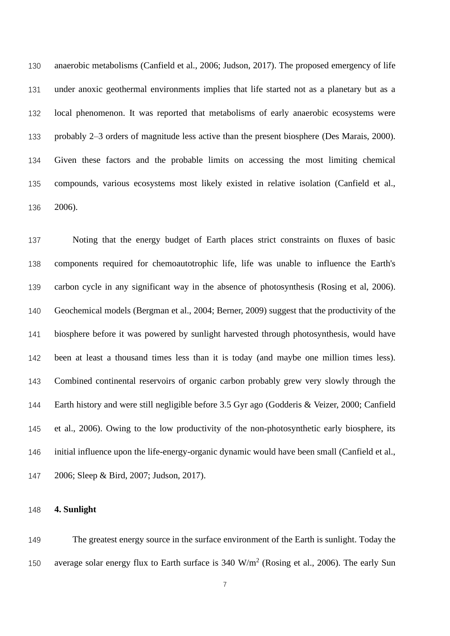anaerobic metabolisms (Canfield et al., 2006; Judson, 2017). The proposed emergency of life under anoxic geothermal environments implies that life started not as a planetary but as a local phenomenon. It was reported that metabolisms of early anaerobic ecosystems were probably 2–3 orders of magnitude less active than the present biosphere (Des Marais, 2000). Given these factors and the probable limits on accessing the most limiting chemical compounds, various ecosystems most likely existed in relative isolation (Canfield et al., 2006).

 Noting that the energy budget of Earth places strict constraints on fluxes of basic components required for chemoautotrophic life, life was unable to influence the Earth's carbon cycle in any significant way in the absence of photosynthesis (Rosing et al, 2006). Geochemical models (Bergman et al., 2004; Berner, 2009) suggest that the productivity of the biosphere before it was powered by sunlight harvested through photosynthesis, would have been at least a thousand times less than it is today (and maybe one million times less). Combined continental reservoirs of organic carbon probably grew very slowly through the Earth history and were still negligible before 3.5 Gyr ago (Godderis & Veizer, 2000; Canfield et al., 2006). Owing to the low productivity of the non-photosynthetic early biosphere, its initial influence upon the life-energy-organic dynamic would have been small (Canfield et al., 2006; Sleep & Bird, 2007; Judson, 2017).

## **4. Sunlight**

 The greatest energy source in the surface environment of the Earth is sunlight. Today the 150 average solar energy flux to Earth surface is  $340 \text{ W/m}^2$  (Rosing et al., 2006). The early Sun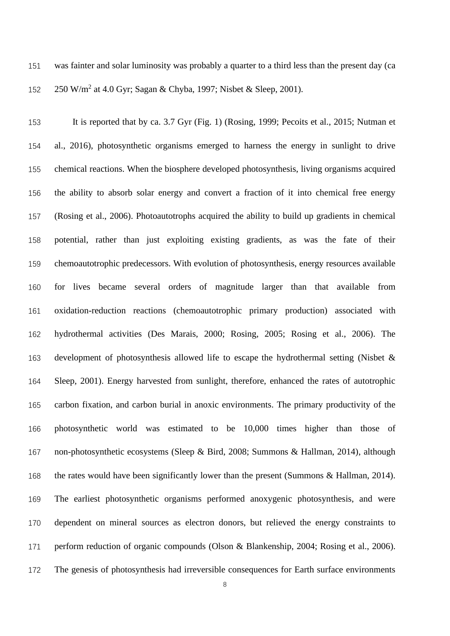was fainter and solar luminosity was probably a quarter to a third less than the present day (ca 152 250 W/m<sup>2</sup> at 4.0 Gyr; Sagan & Chyba, 1997; Nisbet & Sleep, 2001).

 It is reported that by ca. 3.7 Gyr (Fig. 1) (Rosing, 1999; Pecoits et al., 2015; Nutman et al., 2016), photosynthetic organisms emerged to harness the energy in sunlight to drive chemical reactions. When the biosphere developed photosynthesis, living organisms acquired the ability to absorb solar energy and convert a fraction of it into chemical free energy (Rosing et al., 2006). Photoautotrophs acquired the ability to build up gradients in chemical potential, rather than just exploiting existing gradients, as was the fate of their chemoautotrophic predecessors. With evolution of photosynthesis, energy resources available for lives became several orders of magnitude larger than that available from oxidation-reduction reactions (chemoautotrophic primary production) associated with hydrothermal activities (Des Marais, 2000; Rosing, 2005; Rosing et al., 2006). The development of photosynthesis allowed life to escape the hydrothermal setting (Nisbet & Sleep, 2001). Energy harvested from sunlight, therefore, enhanced the rates of autotrophic carbon fixation, and carbon burial in anoxic environments. The primary productivity of the photosynthetic world was estimated to be 10,000 times higher than those of non-photosynthetic ecosystems (Sleep & Bird, 2008; Summons & Hallman, 2014), although 168 the rates would have been significantly lower than the present (Summons & Hallman, 2014). The earliest photosynthetic organisms performed anoxygenic photosynthesis, and were dependent on mineral sources as electron donors, but relieved the energy constraints to perform reduction of organic compounds (Olson & Blankenship, 2004; Rosing et al., 2006). The genesis of photosynthesis had irreversible consequences for Earth surface environments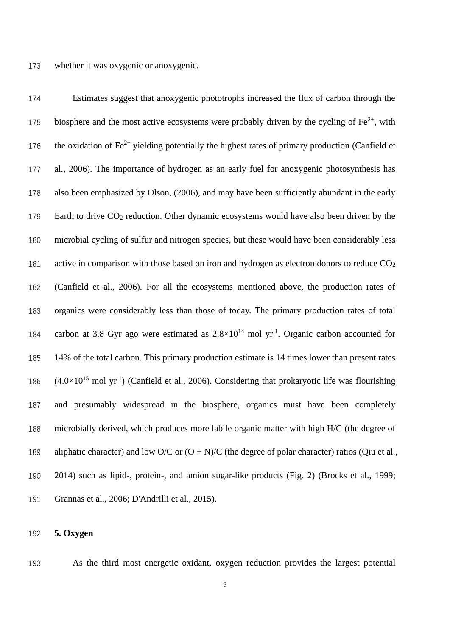Estimates suggest that anoxygenic phototrophs increased the flux of carbon through the 175 biosphere and the most active ecosystems were probably driven by the cycling of  $Fe^{2+}$ , with 176 the oxidation of  $Fe^{2+}$  yielding potentially the highest rates of primary production (Canfield et al., 2006). The importance of hydrogen as an early fuel for anoxygenic photosynthesis has also been emphasized by Olson, (2006), and may have been sufficiently abundant in the early 179 Earth to drive CO<sub>2</sub> reduction. Other dynamic ecosystems would have also been driven by the microbial cycling of sulfur and nitrogen species, but these would have been considerably less 181 active in comparison with those based on iron and hydrogen as electron donors to reduce  $CO<sub>2</sub>$  (Canfield et al., 2006). For all the ecosystems mentioned above, the production rates of organics were considerably less than those of today. The primary production rates of total 184 carbon at 3.8 Gyr ago were estimated as  $2.8 \times 10^{14}$  mol yr<sup>-1</sup>. Organic carbon accounted for 14% of the total carbon. This primary production estimate is 14 times lower than present rates  $(4.0\times10^{15} \text{ mol yr}^{-1})$  (Canfield et al., 2006). Considering that prokaryotic life was flourishing and presumably widespread in the biosphere, organics must have been completely microbially derived, which produces more labile organic matter with high H/C (the degree of 189 aliphatic character) and low O/C or  $(O + N)/C$  (the degree of polar character) ratios (Qiu et al., 2014) such as lipid-, protein-, and amion sugar-like products (Fig. 2) (Brocks et al., 1999; Grannas et al., 2006; D'Andrilli et al., 2015).

## **5. Oxygen**

As the third most energetic oxidant, oxygen reduction provides the largest potential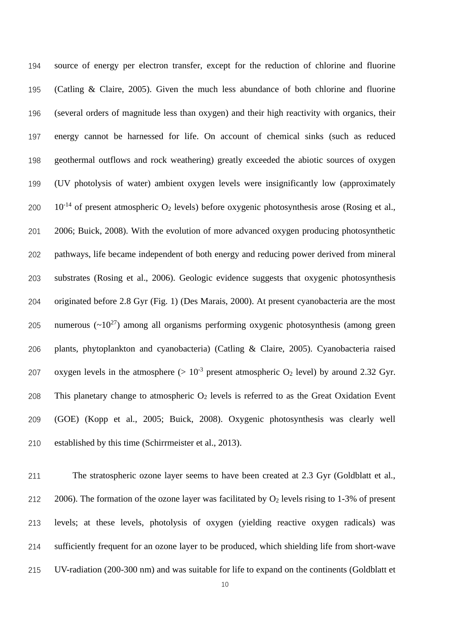source of energy per electron transfer, except for the reduction of chlorine and fluorine (Catling & Claire, 2005). Given the much less abundance of both chlorine and fluorine (several orders of magnitude less than oxygen) and their high reactivity with organics, their energy cannot be harnessed for life. On account of chemical sinks (such as reduced geothermal outflows and rock weathering) greatly exceeded the abiotic sources of oxygen (UV photolysis of water) ambient oxygen levels were insignificantly low (approximately  $10^{-14}$  of present atmospheric O<sub>2</sub> levels) before oxygenic photosynthesis arose (Rosing et al., 2006; Buick, 2008). With the evolution of more advanced oxygen producing photosynthetic pathways, life became independent of both energy and reducing power derived from mineral substrates (Rosing et al., 2006). Geologic evidence suggests that oxygenic photosynthesis originated before 2.8 Gyr (Fig. 1) (Des Marais, 2000). At present cyanobacteria are the most 205 numerous  $(\sim 10^{27})$  among all organisms performing oxygenic photosynthesis (among green plants, phytoplankton and cyanobacteria) (Catling & Claire, 2005). Cyanobacteria raised 207 oxygen levels in the atmosphere  $(>10^{-3}$  present atmospheric O<sub>2</sub> level) by around 2.32 Gyr. 208 This planetary change to atmospheric  $O_2$  levels is referred to as the Great Oxidation Event (GOE) (Kopp et al., 2005; Buick, 2008). Oxygenic photosynthesis was clearly well established by this time (Schirrmeister et al., 2013).

 The stratospheric ozone layer seems to have been created at 2.3 Gyr (Goldblatt et al., 212 2006). The formation of the ozone layer was facilitated by  $O_2$  levels rising to 1-3% of present levels; at these levels, photolysis of oxygen (yielding reactive oxygen radicals) was sufficiently frequent for an ozone layer to be produced, which shielding life from short-wave UV-radiation (200-300 nm) and was suitable for life to expand on the continents (Goldblatt et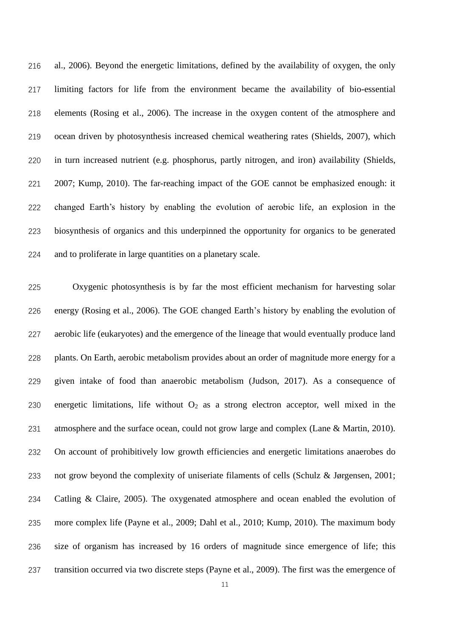al., 2006). Beyond the energetic limitations, defined by the availability of oxygen, the only limiting factors for life from the environment became the availability of bio-essential elements (Rosing et al., 2006). The increase in the oxygen content of the atmosphere and ocean driven by photosynthesis increased chemical weathering rates (Shields, 2007), which in turn increased nutrient (e.g. phosphorus, partly nitrogen, and iron) availability (Shields, 2007; Kump, 2010). The far-reaching impact of the GOE cannot be emphasized enough: it changed Earth's history by enabling the evolution of aerobic life, an explosion in the biosynthesis of organics and this underpinned the opportunity for organics to be generated and to proliferate in large quantities on a planetary scale.

 Oxygenic photosynthesis is by far the most efficient mechanism for harvesting solar energy (Rosing et al., 2006). The GOE changed Earth's history by enabling the evolution of aerobic life (eukaryotes) and the emergence of the lineage that would eventually produce land plants. On Earth, aerobic metabolism provides about an order of magnitude more energy for a given intake of food than anaerobic metabolism (Judson, 2017). As a consequence of 230 energetic limitations, life without  $O_2$  as a strong electron acceptor, well mixed in the 231 atmosphere and the surface ocean, could not grow large and complex (Lane & Martin, 2010). On account of prohibitively low growth efficiencies and energetic limitations anaerobes do not grow beyond the complexity of uniseriate filaments of cells (Schulz & Jørgensen, 2001; Catling & Claire, 2005). The oxygenated atmosphere and ocean enabled the evolution of more complex life (Payne et al., 2009; Dahl et al., 2010; Kump, 2010). The maximum body size of organism has increased by 16 orders of magnitude since emergence of life; this transition occurred via two discrete steps (Payne et al., 2009). The first was the emergence of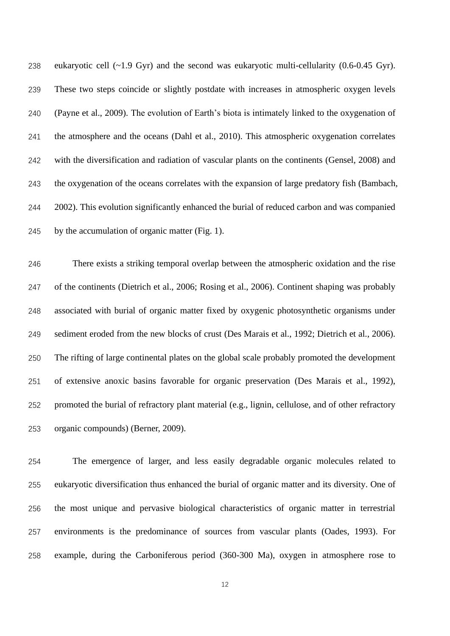eukaryotic cell (~1.9 Gyr) and the second was eukaryotic multi-cellularity (0.6-0.45 Gyr). These two steps coincide or slightly postdate with increases in atmospheric oxygen levels (Payne et al., 2009). The evolution of Earth's biota is intimately linked to the oxygenation of the atmosphere and the oceans (Dahl et al., 2010). This atmospheric oxygenation correlates with the diversification and radiation of vascular plants on the continents (Gensel, 2008) and the oxygenation of the oceans correlates with the expansion of large predatory fish (Bambach, 2002). This evolution significantly enhanced the burial of reduced carbon and was companied by the accumulation of organic matter (Fig. 1).

 There exists a striking temporal overlap between the atmospheric oxidation and the rise of the continents (Dietrich et al., 2006; Rosing et al., 2006). Continent shaping was probably associated with burial of organic matter fixed by oxygenic photosynthetic organisms under sediment eroded from the new blocks of crust (Des Marais et al., 1992; Dietrich et al., 2006). The rifting of large continental plates on the global scale probably promoted the development of extensive anoxic basins favorable for organic preservation (Des Marais et al., 1992), promoted the burial of refractory plant material (e.g., lignin, cellulose, and of other refractory organic compounds) (Berner, 2009).

 The emergence of larger, and less easily degradable organic molecules related to eukaryotic diversification thus enhanced the burial of organic matter and its diversity. One of the most unique and pervasive biological characteristics of organic matter in terrestrial environments is the predominance of sources from vascular plants (Oades, 1993). For example, during the Carboniferous period (360-300 Ma), oxygen in atmosphere rose to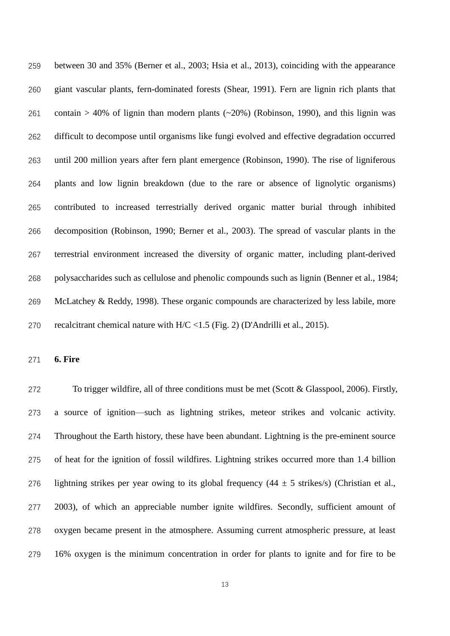between 30 and 35% (Berner et al., 2003; Hsia et al., 2013), coinciding with the appearance giant vascular plants, fern-dominated forests (Shear, 1991). Fern are lignin rich plants that 261 contain > 40% of lignin than modern plants  $(\sim 20\%)$  (Robinson, 1990), and this lignin was difficult to decompose until organisms like fungi evolved and effective degradation occurred until 200 million years after fern plant emergence (Robinson, 1990). The rise of ligniferous plants and low lignin breakdown (due to the rare or absence of lignolytic organisms) contributed to increased terrestrially derived organic matter burial through inhibited decomposition (Robinson, 1990; Berner et al., 2003). The spread of vascular plants in the terrestrial environment increased the diversity of organic matter, including plant-derived polysaccharides such as cellulose and phenolic compounds such as lignin (Benner et al., 1984; McLatchey & Reddy, 1998). These organic compounds are characterized by less labile, more recalcitrant chemical nature with H/C <1.5 (Fig. 2) (D'Andrilli et al., 2015).

**6. Fire**

 To trigger wildfire, all of three conditions must be met (Scott & Glasspool, 2006). Firstly, a source of ignition—such as lightning strikes, meteor strikes and volcanic activity. Throughout the Earth history, these have been abundant. Lightning is the pre-eminent source of heat for the ignition of fossil wildfires. Lightning strikes occurred more than 1.4 billion 276 lightning strikes per year owing to its global frequency  $(44 \pm 5 \text{ strikes/s})$  (Christian et al., 2003), of which an appreciable number ignite wildfires. Secondly, sufficient amount of oxygen became present in the atmosphere. Assuming current atmospheric pressure, at least 16% oxygen is the minimum concentration in order for plants to ignite and for fire to be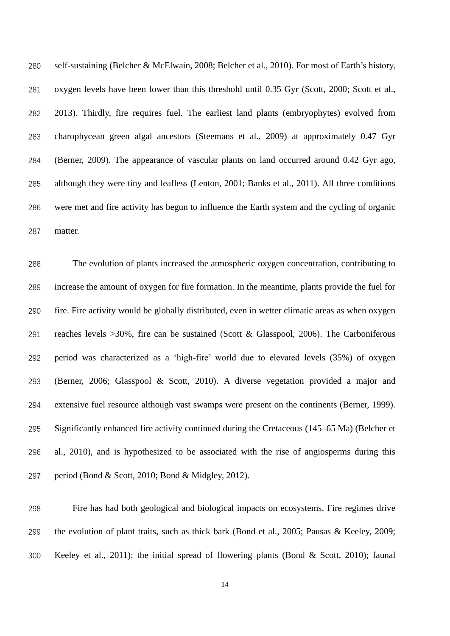self-sustaining (Belcher & McElwain, 2008; Belcher et al., 2010). For most of Earth's history, oxygen levels have been lower than this threshold until 0.35 Gyr (Scott, 2000; Scott et al., 2013). Thirdly, fire requires fuel. The earliest land plants (embryophytes) evolved from charophycean green algal ancestors (Steemans et al., 2009) at approximately 0.47 Gyr (Berner, 2009). The appearance of vascular plants on land occurred around 0.42 Gyr ago, although they were tiny and leafless (Lenton, 2001; Banks et al., 2011). All three conditions were met and fire activity has begun to influence the Earth system and the cycling of organic matter.

 The evolution of plants increased the atmospheric oxygen concentration, contributing to increase the amount of oxygen for fire formation. In the meantime, plants provide the fuel for fire. Fire activity would be globally distributed, even in wetter climatic areas as when oxygen reaches levels >30%, fire can be sustained (Scott & Glasspool, 2006). The Carboniferous period was characterized as a 'high-fire' world due to elevated levels (35%) of oxygen (Berner, 2006; Glasspool & Scott, 2010). A diverse vegetation provided a major and extensive fuel resource although vast swamps were present on the continents (Berner, 1999). Significantly enhanced fire activity continued during the Cretaceous (145–65 Ma) (Belcher et al., 2010), and is hypothesized to be associated with the rise of angiosperms during this period (Bond & Scott, 2010; Bond & Midgley, 2012).

 Fire has had both geological and biological impacts on ecosystems. Fire regimes drive the evolution of plant traits, such as thick bark (Bond et al., 2005; Pausas & Keeley, 2009; Keeley et al., 2011); the initial spread of flowering plants (Bond & Scott, 2010); faunal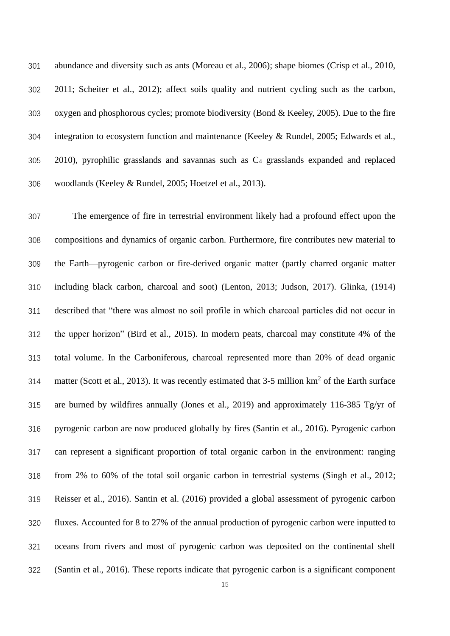abundance and diversity such as ants (Moreau et al., 2006); shape biomes (Crisp et al., 2010, 2011; Scheiter et al., 2012); affect soils quality and nutrient cycling such as the carbon, oxygen and phosphorous cycles; promote biodiversity (Bond & Keeley, 2005). Due to the fire integration to ecosystem function and maintenance (Keeley & Rundel, 2005; Edwards et al., 2010), pyrophilic grasslands and savannas such as C<sup>4</sup> grasslands expanded and replaced woodlands (Keeley & Rundel, 2005; Hoetzel et al., 2013).

 The emergence of fire in terrestrial environment likely had a profound effect upon the compositions and dynamics of organic carbon. Furthermore, fire contributes new material to the Earth—pyrogenic carbon or fire-derived organic matter (partly charred organic matter including black carbon, charcoal and soot) (Lenton, 2013; Judson, 2017). Glinka, (1914) described that "there was almost no soil profile in which charcoal particles did not occur in the upper horizon" (Bird et al., 2015). In modern peats, charcoal may constitute 4% of the total volume. In the Carboniferous, charcoal represented more than 20% of dead organic 314 matter (Scott et al., 2013). It was recently estimated that  $3-5$  million km<sup>2</sup> of the Earth surface are burned by wildfires annually (Jones et al., 2019) and approximately 116-385 Tg/yr of pyrogenic carbon are now produced globally by fires (Santin et al., 2016). Pyrogenic carbon can represent a significant proportion of total organic carbon in the environment: ranging from 2% to 60% of the total soil organic carbon in terrestrial systems (Singh et al., 2012; Reisser et al., 2016). Santin et al. (2016) provided a global assessment of pyrogenic carbon fluxes. Accounted for 8 to 27% of the annual production of pyrogenic carbon were inputted to oceans from rivers and most of pyrogenic carbon was deposited on the continental shelf (Santin et al., 2016). These reports indicate that pyrogenic carbon is a significant component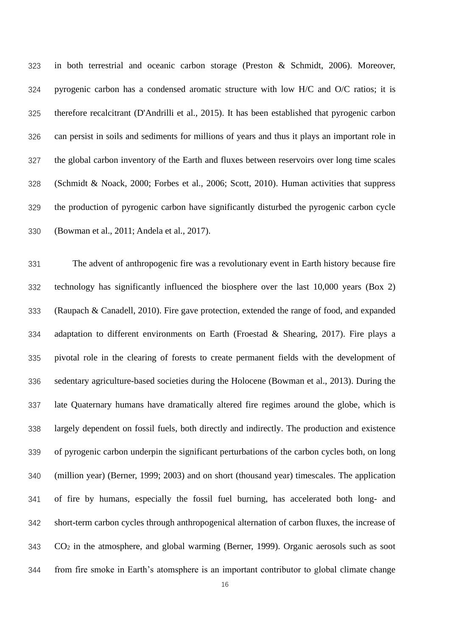in both terrestrial and oceanic carbon storage (Preston & Schmidt, 2006). Moreover, pyrogenic carbon has a condensed aromatic structure with low H/C and O/C ratios; it is therefore recalcitrant (D'Andrilli et al., 2015). It has been established that pyrogenic carbon can persist in soils and sediments for millions of years and thus it plays an important role in the global carbon inventory of the Earth and fluxes between reservoirs over long time scales (Schmidt & Noack, 2000; Forbes et al., 2006; Scott, 2010). Human activities that suppress the production of pyrogenic carbon have significantly disturbed the pyrogenic carbon cycle (Bowman et al., 2011; Andela et al., 2017).

 The advent of anthropogenic fire was a revolutionary event in Earth history because fire technology has significantly influenced the biosphere over the last 10,000 years (Box 2) (Raupach & Canadell, 2010). Fire gave protection, extended the range of food, and expanded adaptation to different environments on Earth (Froestad & Shearing, 2017). Fire plays a pivotal role in the clearing of forests to create permanent fields with the development of sedentary agriculture-based societies during the Holocene (Bowman et al., 2013). During the late Quaternary humans have dramatically altered fire regimes around the globe, which is largely dependent on fossil fuels, both directly and indirectly. The production and existence of pyrogenic carbon underpin the significant perturbations of the carbon cycles both, on long (million year) (Berner, 1999; 2003) and on short (thousand year) timescales. The application of fire by humans, especially the fossil fuel burning, has accelerated both long- and short-term carbon cycles through anthropogenical alternation of carbon fluxes, the increase of CO<sup>2</sup> in the atmosphere, and global warming (Berner, 1999). Organic aerosols such as soot from fire smoke in Earth's atomsphere is an important contributor to global climate change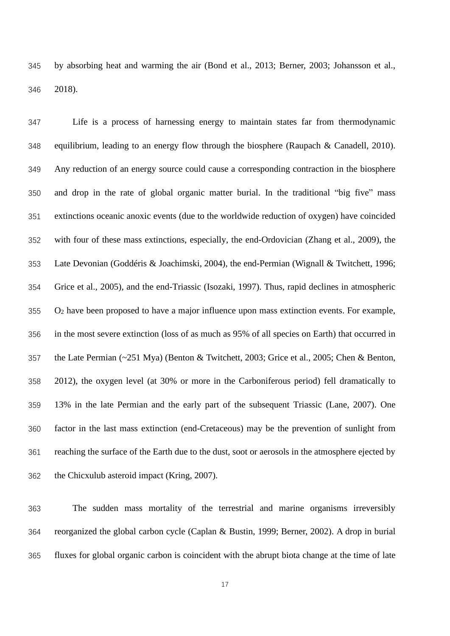by absorbing heat and warming the air (Bond et al., 2013; Berner, 2003; Johansson et al., 2018).

 Life is a process of harnessing energy to maintain states far from thermodynamic equilibrium, leading to an energy flow through the biosphere (Raupach & Canadell, 2010). Any reduction of an energy source could cause a corresponding contraction in the biosphere and drop in the rate of global organic matter burial. In the traditional "big five" mass extinctions oceanic anoxic events (due to the worldwide reduction of oxygen) have coincided with four of these mass extinctions, especially, the end-Ordovician (Zhang et al., 2009), the Late Devonian (Goddéris & Joachimski, 2004), the end-Permian (Wignall & Twitchett, 1996; Grice et al., 2005), and the end-Triassic (Isozaki, 1997). Thus, rapid declines in atmospheric O<sup>2</sup> have been proposed to have a major influence upon mass extinction events. For example, in the most severe extinction (loss of as much as 95% of all species on Earth) that occurred in the Late Permian (~251 Mya) (Benton & Twitchett, 2003; Grice et al., 2005; Chen & Benton, 2012), the oxygen level (at 30% or more in the Carboniferous period) fell dramatically to 13% in the late Permian and the early part of the subsequent Triassic (Lane, 2007). One factor in the last mass extinction (end-Cretaceous) may be the prevention of sunlight from reaching the surface of the Earth due to the dust, soot or aerosols in the atmosphere ejected by the Chicxulub asteroid impact (Kring, 2007).

 The sudden mass mortality of the terrestrial and marine organisms irreversibly reorganized the global carbon cycle (Caplan & Bustin, 1999; Berner, 2002). A drop in burial fluxes for global organic carbon is coincident with the abrupt biota change at the time of late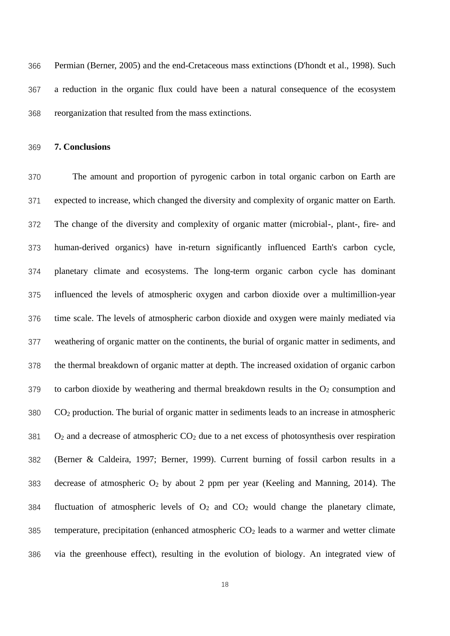Permian (Berner, 2005) and the end-Cretaceous mass extinctions (D'hondt et al., 1998). Such a reduction in the organic flux could have been a natural consequence of the ecosystem reorganization that resulted from the mass extinctions.

**7. Conclusions** 

 The amount and proportion of pyrogenic carbon in total organic carbon on Earth are expected to increase, which changed the diversity and complexity of organic matter on Earth. The change of the diversity and complexity of organic matter (microbial-, plant-, fire- and human-derived organics) have in-return significantly influenced Earth's carbon cycle, planetary climate and ecosystems. The long-term organic carbon cycle has dominant influenced the levels of atmospheric oxygen and carbon dioxide over a multimillion-year time scale. The levels of atmospheric carbon dioxide and oxygen were mainly mediated via weathering of organic matter on the continents, the burial of organic matter in sediments, and the thermal breakdown of organic matter at depth. The increased oxidation of organic carbon to carbon dioxide by weathering and thermal breakdown results in the  $O<sub>2</sub>$  consumption and CO<sup>2</sup> production. The burial of organic matter in sediments leads to an increase in atmospheric O<sub>2</sub> and a decrease of atmospheric CO<sub>2</sub> due to a net excess of photosynthesis over respiration (Berner & Caldeira, 1997; Berner, 1999). Current burning of fossil carbon results in a 383 decrease of atmospheric  $O_2$  by about 2 ppm per year (Keeling and Manning, 2014). The 384 fluctuation of atmospheric levels of  $O_2$  and  $CO_2$  would change the planetary climate, 385 temperature, precipitation (enhanced atmospheric  $CO<sub>2</sub>$  leads to a warmer and wetter climate via the greenhouse effect), resulting in the evolution of biology. An integrated view of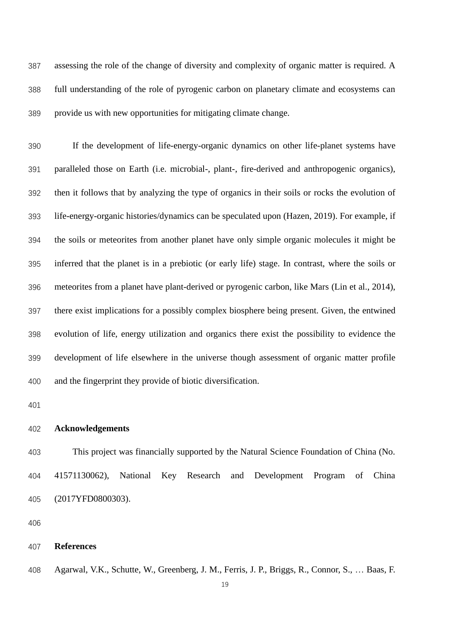assessing the role of the change of diversity and complexity of organic matter is required. A full understanding of the role of pyrogenic carbon on planetary climate and ecosystems can provide us with new opportunities for mitigating climate change.

 If the development of life-energy-organic dynamics on other life-planet systems have paralleled those on Earth (i.e. microbial-, plant-, fire-derived and anthropogenic organics), then it follows that by analyzing the type of organics in their soils or rocks the evolution of life-energy-organic histories/dynamics can be speculated upon (Hazen, 2019). For example, if the soils or meteorites from another planet have only simple organic molecules it might be inferred that the planet is in a prebiotic (or early life) stage. In contrast, where the soils or meteorites from a planet have plant-derived or pyrogenic carbon, like Mars (Lin et al., 2014), there exist implications for a possibly complex biosphere being present. Given, the entwined evolution of life, energy utilization and organics there exist the possibility to evidence the development of life elsewhere in the universe though assessment of organic matter profile and the fingerprint they provide of biotic diversification.

### **Acknowledgements**

 This project was financially supported by the Natural Science Foundation of China (No. 41571130062), National Key Research and Development Program of China (2017YFD0800303).

#### **References**

Agarwal, V.K., Schutte, W., Greenberg, J. M., Ferris, J. P., Briggs, R., Connor, S., … Baas, F.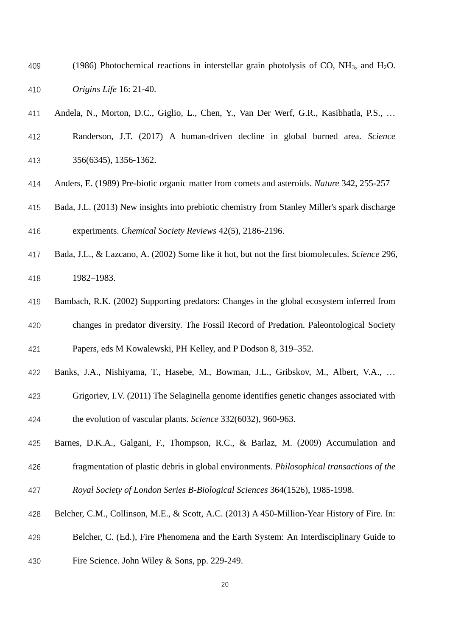- 409 (1986) Photochemical reactions in interstellar grain photolysis of CO,  $NH_3$ , and  $H_2O$ . *Origins Life* 16: 21-40.
- Andela, N., Morton, D.C., Giglio, L., Chen, Y., Van Der Werf, G.R., Kasibhatla, P.S., …
- Randerson, J.T. (2017) A human-driven decline in global burned area. *Science* 356(6345), 1356-1362.
- Anders, E. (1989) Pre-biotic organic matter from comets and asteroids. *Nature* 342, 255-257
- Bada, J.L. (2013) New insights into prebiotic chemistry from Stanley Miller's spark discharge experiments. *Chemical Society Reviews* 42(5), 2186-2196.
- Bada, J.L., & Lazcano, A. (2002) Some like it hot, but not the first biomolecules. *Science* 296, 1982–1983.
- Bambach, R.K. (2002) Supporting predators: Changes in the global ecosystem inferred from changes in predator diversity. The Fossil Record of Predation. Paleontological Society
- Papers, eds M Kowalewski, PH Kelley, and P Dodson 8, 319–352.
- Banks, J.A., Nishiyama, T., Hasebe, M., Bowman, J.L., Gribskov, M., Albert, V.A., …
- Grigoriev, I.V. (2011) The Selaginella genome identifies genetic changes associated with
- the evolution of vascular plants. *Science* 332(6032), 960-963.
- Barnes, D.K.A., Galgani, F., Thompson, R.C., & Barlaz, M. (2009) Accumulation and
- fragmentation of plastic debris in global environments. *Philosophical transactions of the Royal Society of London Series B-Biological Sciences* 364(1526), 1985-1998.
- Belcher, C.M., Collinson, M.E., & Scott, A.C. (2013) A 450-Million-Year History of Fire. In:
- Belcher, C. (Ed.), Fire Phenomena and the Earth System: An Interdisciplinary Guide to
- Fire Science. John Wiley & Sons, pp. 229-249.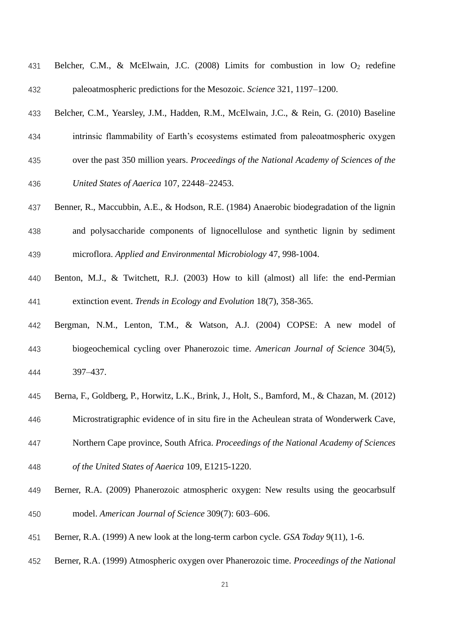| 431 |  |  |  |  | Belcher, C.M., & McElwain, J.C. (2008) Limits for combustion in low $O_2$ redefine |  |  |
|-----|--|--|--|--|------------------------------------------------------------------------------------|--|--|
| 432 |  |  |  |  | paleoatmospheric predictions for the Mesozoic. Science 321, 1197–1200.             |  |  |

- Belcher, C.M., Yearsley, J.M., Hadden, R.M., McElwain, J.C., & Rein, G. (2010) Baseline
- intrinsic flammability of Earth's ecosystems estimated from paleoatmospheric oxygen
- over the past 350 million years. *Proceedings of the National Academy of Sciences of the*
- *United States of Aaerica* 107, 22448–22453.
- 437 Benner, R., Maccubbin, A.E., & Hodson, R.E. (1984) Anaerobic biodegradation of the lignin
- and polysaccharide components of lignocellulose and synthetic lignin by sediment microflora. *Applied and Environmental Microbiology* 47, 998-1004.
- Benton, M.J., & Twitchett, R.J. (2003) How to kill (almost) all life: the end-Permian extinction event. *Trends in Ecology and Evolution* 18(7), 358-365.
- Bergman, N.M., Lenton, T.M., & Watson, A.J. (2004) COPSE: A new model of biogeochemical cycling over Phanerozoic time. *American Journal of Science* 304(5), 397–437.
- Berna, F., Goldberg, P., Horwitz, L.K., Brink, J., Holt, S., Bamford, M., & Chazan, M. (2012)
- Microstratigraphic evidence of in situ fire in the Acheulean strata of Wonderwerk Cave,
- Northern Cape province, South Africa. *Proceedings of the National Academy of Sciences*
- *of the United States of Aaerica* 109, E1215-1220.
- Berner, R.A. (2009) Phanerozoic atmospheric oxygen: New results using the geocarbsulf model. *American Journal of Science* 309(7): 603–606.
- Berner, R.A. (1999) A new look at the long-term carbon cycle. *GSA Today* 9(11), 1-6.
- Berner, R.A. (1999) Atmospheric oxygen over Phanerozoic time. *Proceedings of the National*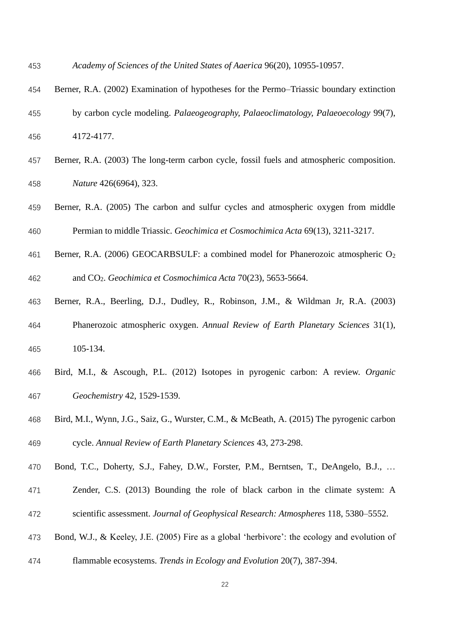- *Academy of Sciences of the United States of Aaerica* 96(20), 10955-10957.
- Berner, R.A. (2002) Examination of hypotheses for the Permo–Triassic boundary extinction
- by carbon cycle modeling. *Palaeogeography, Palaeoclimatology, Palaeoecology* 99(7),
- 4172-4177.
- Berner, R.A. (2003) The long-term carbon cycle, fossil fuels and atmospheric composition. *Nature* 426(6964), 323.
- Berner, R.A. (2005) The carbon and sulfur cycles and atmospheric oxygen from middle Permian to middle Triassic. *Geochimica et Cosmochimica Acta* 69(13), 3211-3217.
- 461 Berner, R.A. (2006) GEOCARBSULF: a combined model for Phanerozoic atmospheric O<sub>2</sub> and CO2. *Geochimica et Cosmochimica Acta* 70(23), 5653-5664.
- Berner, R.A., Beerling, D.J., Dudley, R., Robinson, J.M., & Wildman Jr, R.A. (2003) Phanerozoic atmospheric oxygen. *Annual Review of Earth Planetary Sciences* 31(1), 105-134.
- Bird, M.I., & Ascough, P.L. (2012) Isotopes in pyrogenic carbon: A review. *Organic Geochemistry* 42, 1529-1539.
- Bird, M.I., Wynn, J.G., Saiz, G., Wurster, C.M., & McBeath, A. (2015) The pyrogenic carbon cycle. *Annual Review of Earth Planetary Sciences* 43, 273-298.
- Bond, T.C., Doherty, S.J., Fahey, D.W., Forster, P.M., Berntsen, T., DeAngelo, B.J., …
- Zender, C.S. (2013) Bounding the role of black carbon in the climate system: A scientific assessment. *Journal of Geophysical Research: Atmospheres* 118, 5380–5552.
- Bond, W.J., & Keeley, J.E. (2005) Fire as a global 'herbivore': the ecology and evolution of
- flammable ecosystems. *Trends in Ecology and Evolution* 20(7), 387-394.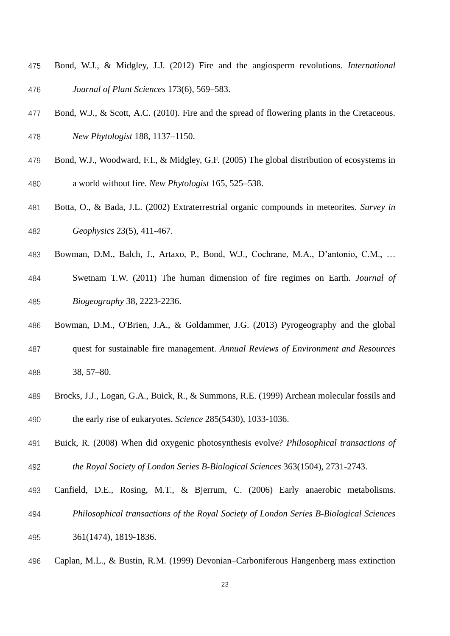- Bond, W.J., & Midgley, J.J. (2012) Fire and the angiosperm revolutions. *International Journal of Plant Sciences* 173(6), 569–583.
- Bond, W.J., & Scott, A.C. (2010). Fire and the spread of flowering plants in the Cretaceous.
- *New Phytologist* 188, 1137–1150.
- Bond, W.J., Woodward, F.I., & Midgley, G.F. (2005) The global distribution of ecosystems in a world without fire. *New Phytologist* 165, 525–538.
- Botta, O., & Bada, J.L. (2002) Extraterrestrial organic compounds in meteorites. *Survey in Geophysics* 23(5), 411-467.
- Bowman, D.M., Balch, J., Artaxo, P., Bond, W.J., Cochrane, M.A., D'antonio, C.M., …
- Swetnam T.W. (2011) The human dimension of fire regimes on Earth. *Journal of Biogeography* 38, 2223-2236.
- Bowman, D.M., O'Brien, J.A., & Goldammer, J.G. (2013) Pyrogeography and the global
- quest for sustainable fire management. *Annual Reviews of Environment and Resources* 38, 57–80.
- Brocks, J.J., Logan, G.A., Buick, R., & Summons, R.E. (1999) Archean molecular fossils and the early rise of eukaryotes. *Science* 285(5430), 1033-1036.
- Buick, R. (2008) When did oxygenic photosynthesis evolve? *Philosophical transactions of*
- *the Royal Society of London Series B-Biological Sciences* 363(1504), 2731-2743.
- Canfield, D.E., Rosing, M.T., & Bjerrum, C. (2006) Early anaerobic metabolisms.
- *Philosophical transactions of the Royal Society of London Series B-Biological Sciences*
- 361(1474), 1819-1836.
- Caplan, M.L., & Bustin, R.M. (1999) Devonian–Carboniferous Hangenberg mass extinction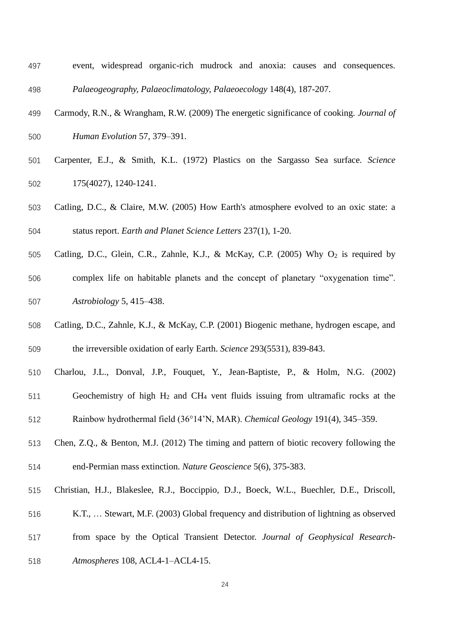- event, widespread organic-rich mudrock and anoxia: causes and consequences. *Palaeogeography, Palaeoclimatology, Palaeoecology* 148(4), 187-207.
- Carmody, R.N., & Wrangham, R.W. (2009) The energetic significance of cooking. *Journal of Human Evolution* 57, 379–391.
- Carpenter, E.J., & Smith, K.L. (1972) Plastics on the Sargasso Sea surface. *Science* 175(4027), 1240-1241.
- Catling, D.C., & Claire, M.W. (2005) How Earth's atmosphere evolved to an oxic state: a status report. *Earth and Planet Science Letters* 237(1), 1-20.
- 505 Catling, D.C., Glein, C.R., Zahnle, K.J., & McKay, C.P. (2005) Why O<sub>2</sub> is required by complex life on habitable planets and the concept of planetary "oxygenation time". *Astrobiology* 5, 415–438.
- Catling, D.C., Zahnle, K.J., & McKay, C.P. (2001) Biogenic methane, hydrogen escape, and the irreversible oxidation of early Earth. *Science* 293(5531), 839-843.
- Charlou, J.L., Donval, J.P., Fouquet, Y., Jean-Baptiste, P., & Holm, N.G. (2002)
- Geochemistry of high H<sup>2</sup> and CH<sup>4</sup> vent fluids issuing from ultramafic rocks at the
- Rainbow hydrothermal field (36°14'N, MAR). *Chemical Geology* 191(4), 345–359.
- Chen, Z.Q., & Benton, M.J. (2012) The timing and pattern of biotic recovery following the end-Permian mass extinction. *Nature Geoscience* 5(6), 375-383.
- Christian, H.J., Blakeslee, R.J., Boccippio, D.J., Boeck, W.L., Buechler, D.E., Driscoll,
- K.T., … Stewart, M.F. (2003) Global frequency and distribution of lightning as observed
- from space by the Optical Transient Detector. *Journal of Geophysical Research-*
- *Atmospheres* 108, ACL4-1–ACL4-15.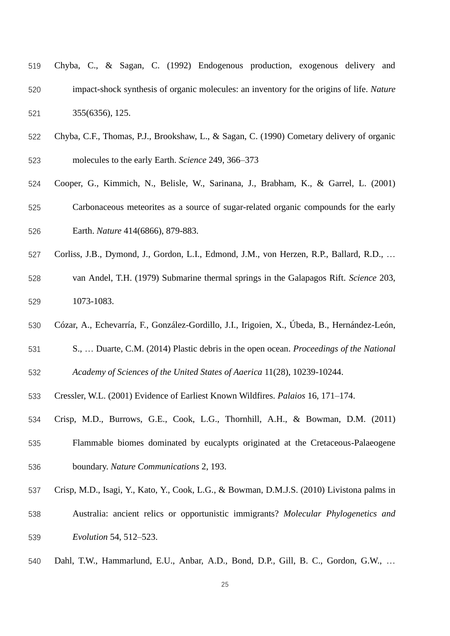- Chyba, C., & Sagan, C. (1992) Endogenous production, exogenous delivery and impact-shock synthesis of organic molecules: an inventory for the origins of life. *Nature* 355(6356), 125.
- Chyba, C.F., Thomas, P.J., Brookshaw, L., & Sagan, C. (1990) Cometary delivery of organic molecules to the early Earth. *Science* 249, 366–373
- Cooper, G., Kimmich, N., Belisle, W., Sarinana, J., Brabham, K., & Garrel, L. (2001) Carbonaceous meteorites as a source of sugar-related organic compounds for the early Earth. *Nature* 414(6866), 879-883.
- Corliss, J.B., Dymond, J., Gordon, L.I., Edmond, J.M., von Herzen, R.P., Ballard, R.D., …
- van Andel, T.H. (1979) Submarine thermal springs in the Galapagos Rift. *Science* 203, 1073-1083.
- Cózar, A., Echevarría, F., González-Gordillo, J.I., Irigoien, X., Úbeda, B., Hernández-León,
- S., … Duarte, C.M. (2014) Plastic debris in the open ocean. *Proceedings of the National*
- *Academy of Sciences of the United States of Aaerica* 11(28), 10239-10244.
- Cressler, W.L. (2001) Evidence of Earliest Known Wildfires. *Palaios* 16, 171–174.
- Crisp, M.D., Burrows, G.E., Cook, L.G., Thornhill, A.H., & Bowman, D.M. (2011)
- Flammable biomes dominated by eucalypts originated at the Cretaceous-Palaeogene boundary. *Nature Communications* 2, 193.
- Crisp, M.D., Isagi, Y., Kato, Y., Cook, L.G., & Bowman, D.M.J.S. (2010) Livistona palms in
- Australia: ancient relics or opportunistic immigrants? *Molecular Phylogenetics and*
- *Evolution* 54, 512–523.
- Dahl, T.W., Hammarlund, E.U., Anbar, A.D., Bond, D.P., Gill, B. C., Gordon, G.W., …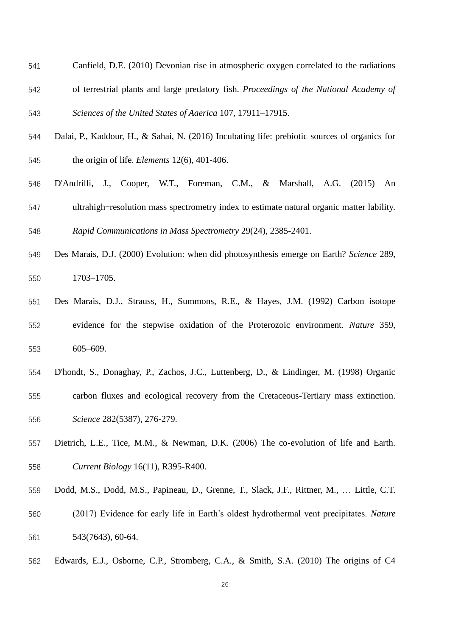- Canfield, D.E. (2010) Devonian rise in atmospheric oxygen correlated to the radiations of terrestrial plants and large predatory fish. *Proceedings of the National Academy of Sciences of the United States of Aaerica* 107, 17911–17915.
- Dalai, P., Kaddour, H., & Sahai, N. (2016) Incubating life: prebiotic sources of organics for the origin of life. *Elements* 12(6), 401-406.
- D'Andrilli, J., Cooper, W.T., Foreman, C.M., & Marshall, A.G. (2015) An ultrahigh-resolution mass spectrometry index to estimate natural organic matter lability.

*Rapid Communications in Mass Spectrometry* 29(24), 2385-2401.

- Des Marais, D.J. (2000) Evolution: when did photosynthesis emerge on Earth? *Science* 289, 1703–1705.
- Des Marais, D.J., Strauss, H., Summons, R.E., & Hayes, J.M. (1992) Carbon isotope evidence for the stepwise oxidation of the Proterozoic environment. *Nature* 359, 605–609.
- D'hondt, S., Donaghay, P., Zachos, J.C., Luttenberg, D., & Lindinger, M. (1998) Organic
- carbon fluxes and ecological recovery from the Cretaceous-Tertiary mass extinction. *Science* 282(5387), 276-279.
- Dietrich, L.E., Tice, M.M., & Newman, D.K. (2006) The co-evolution of life and Earth. *Current Biology* 16(11), R395-R400.
- Dodd, M.S., Dodd, M.S., Papineau, D., Grenne, T., Slack, J.F., Rittner, M., … Little, C.T.
- (2017) Evidence for early life in Earth's oldest hydrothermal vent precipitates. *Nature* 543(7643), 60-64.
- Edwards, E.J., Osborne, C.P., Stromberg, C.A., & Smith, S.A. (2010) The origins of C4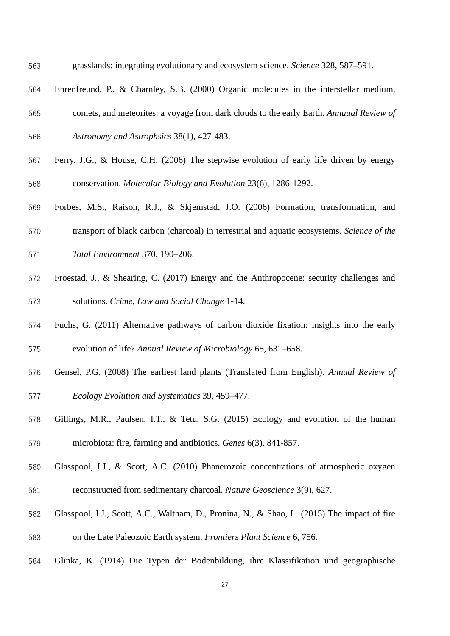- grasslands: integrating evolutionary and ecosystem science. *Science* 328, 587–591.
- Ehrenfreund, P., & Charnley, S.B. (2000) Organic molecules in the interstellar medium,
- comets, and meteorites: a voyage from dark clouds to the early Earth. *Annuual Review of*
- *Astronomy and Astrophsics* 38(1), 427-483.
- Ferry. J.G., & House, C.H. (2006) The stepwise evolution of early life driven by energy conservation. *Molecular Biology and Evolution* 23(6), 1286-1292.
- Forbes, M.S., Raison, R.J., & Skjemstad, J.O. (2006) Formation, transformation, and
- transport of black carbon (charcoal) in terrestrial and aquatic ecosystems. *Science of the*
- *Total Environment* 370, 190–206.
- Froestad, J., & Shearing, C. (2017) Energy and the Anthropocene: security challenges and solutions. *Crime, Law and Social Change* 1-14.
- Fuchs, G. (2011) Alternative pathways of carbon dioxide fixation: insights into the early evolution of life? *Annual Review of Microbiology* 65, 631–658.
- Gensel, P.G. (2008) The earliest land plants (Translated from English). *Annual Review of Ecology Evolution and Systematics* 39, 459–477.
- Gillings, M.R., Paulsen, I.T., & Tetu, S.G. (2015) Ecology and evolution of the human microbiota: fire, farming and antibiotics. *Genes* 6(3), 841-857.
- Glasspool, I.J., & Scott, A.C. (2010) Phanerozoic concentrations of atmospheric oxygen reconstructed from sedimentary charcoal. *Nature Geoscience* 3(9), 627.
- Glasspool, I.J., Scott, A.C., Waltham, D., Pronina, N., & Shao, L. (2015) The impact of fire on the Late Paleozoic Earth system. *Frontiers Plant Science* 6, 756.
- Glinka, K. (1914) Die Typen der Bodenbildung, ihre Klassifikation und geographische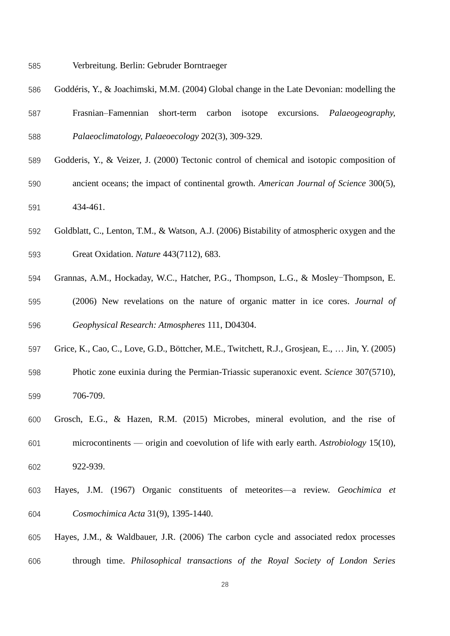- Verbreitung. Berlin: Gebruder Borntraeger
- Goddéris, Y., & Joachimski, M.M. (2004) Global change in the Late Devonian: modelling the
- Frasnian–Famennian short-term carbon isotope excursions. *Palaeogeography, Palaeoclimatology, Palaeoecology* 202(3), 309-329.
- Godderis, Y., & Veizer, J. (2000) Tectonic control of chemical and isotopic composition of ancient oceans; the impact of continental growth. *American Journal of Science* 300(5), 434-461.
- Goldblatt, C., Lenton, T.M., & Watson, A.J. (2006) Bistability of atmospheric oxygen and the Great Oxidation. *Nature* 443(7112), 683.
- Grannas, A.M., Hockaday, W.C., Hatcher, P.G., Thompson, L.G., & Mosley-Thompson, E.
- (2006) New revelations on the nature of organic matter in ice cores. *Journal of Geophysical Research: Atmospheres* 111, D04304.
- Grice, K., Cao, C., Love, G.D., Böttcher, M.E., Twitchett, R.J., Grosjean, E., … Jin, Y. (2005)
- Photic zone euxinia during the Permian-Triassic superanoxic event. *Science* 307(5710), 706-709.
- Grosch, E.G., & Hazen, R.M. (2015) Microbes, mineral evolution, and the rise of microcontinents — origin and coevolution of life with early earth. *Astrobiology* 15(10),
- 922-939.
- Hayes, J.M. (1967) Organic constituents of meteorites—a review. *Geochimica et Cosmochimica Acta* 31(9), 1395-1440.
- Hayes, J.M., & Waldbauer, J.R. (2006) The carbon cycle and associated redox processes through time. *Philosophical transactions of the Royal Society of London Series*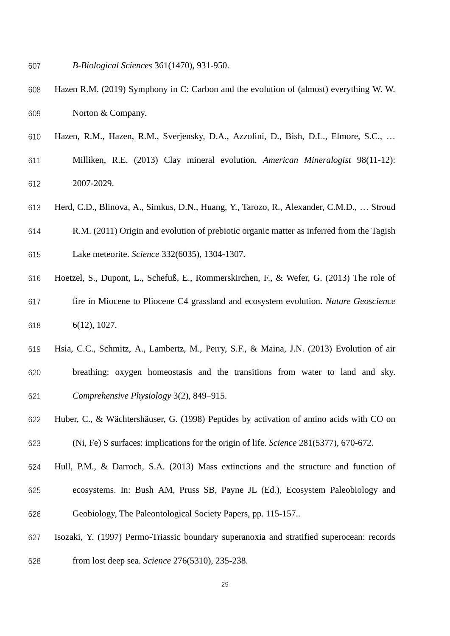- *B-Biological Sciences* 361(1470), 931-950.
- Hazen R.M. (2019) Symphony in C: Carbon and the evolution of (almost) everything W. W. Norton & Company.
- Hazen, R.M., Hazen, R.M., Sverjensky, D.A., Azzolini, D., Bish, D.L., Elmore, S.C., …
- Milliken, R.E. (2013) Clay mineral evolution. *American Mineralogist* 98(11-12): 2007-2029.
- Herd, C.D., Blinova, A., Simkus, D.N., Huang, Y., Tarozo, R., Alexander, C.M.D., … Stroud
- R.M. (2011) Origin and evolution of prebiotic organic matter as inferred from the Tagish
- Lake meteorite. *Science* 332(6035), 1304-1307.
- Hoetzel, S., Dupont, L., Schefuß, E., Rommerskirchen, F., & Wefer, G. (2013) The role of fire in Miocene to Pliocene C4 grassland and ecosystem evolution. *Nature Geoscience* 6(12), 1027.
- Hsia, C.C., Schmitz, A., Lambertz, M., Perry, S.F., & Maina, J.N. (2013) Evolution of air breathing: oxygen homeostasis and the transitions from water to land and sky. *Comprehensive Physiology* 3(2), 849–915.
- Huber, C., & Wächtershäuser, G. (1998) Peptides by activation of amino acids with CO on (Ni, Fe) S surfaces: implications for the origin of life. *Science* 281(5377), 670-672.
- Hull, P.M., & Darroch, S.A. (2013) Mass extinctions and the structure and function of ecosystems. In: Bush AM, Pruss SB, Payne JL (Ed.), Ecosystem Paleobiology and Geobiology, The Paleontological Society Papers, pp. 115-157..
- Isozaki, Y. (1997) Permo-Triassic boundary superanoxia and stratified superocean: records from lost deep sea. *Science* 276(5310), 235-238.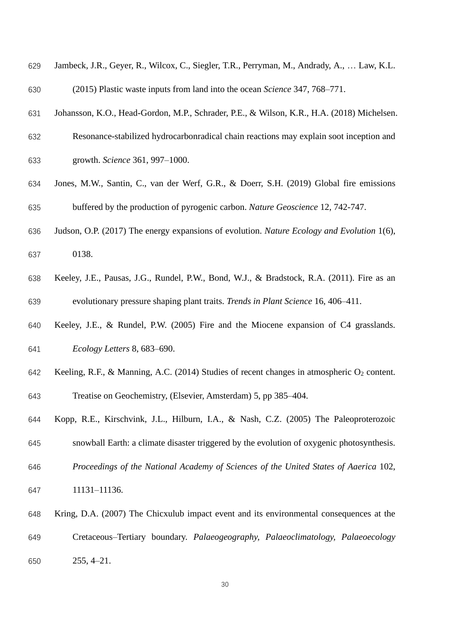| 629 | Jambeck, J.R., Geyer, R., Wilcox, C., Siegler, T.R., Perryman, M., Andrady, A.,  Law, K.L.             |
|-----|--------------------------------------------------------------------------------------------------------|
| 630 | (2015) Plastic waste inputs from land into the ocean Science 347, 768–771.                             |
| 631 | Johansson, K.O., Head-Gordon, M.P., Schrader, P.E., & Wilson, K.R., H.A. (2018) Michelsen.             |
| 632 | Resonance-stabilized hydrocarbonradical chain reactions may explain soot inception and                 |
| 633 | growth. Science 361, 997-1000.                                                                         |
| 634 | Jones, M.W., Santin, C., van der Werf, G.R., & Doerr, S.H. (2019) Global fire emissions                |
| 635 | buffered by the production of pyrogenic carbon. Nature Geoscience 12, 742-747.                         |
| 636 | Judson, O.P. (2017) The energy expansions of evolution. Nature Ecology and Evolution 1(6),             |
| 637 | 0138.                                                                                                  |
| 638 | Keeley, J.E., Pausas, J.G., Rundel, P.W., Bond, W.J., & Bradstock, R.A. (2011). Fire as an             |
| 639 | evolutionary pressure shaping plant traits. Trends in Plant Science 16, 406–411.                       |
| 640 | Keeley, J.E., & Rundel, P.W. (2005) Fire and the Miocene expansion of C4 grasslands.                   |
| 641 | Ecology Letters 8, 683–690.                                                                            |
| 642 | Keeling, R.F., & Manning, A.C. (2014) Studies of recent changes in atmospheric O <sub>2</sub> content. |
| 643 | Treatise on Geochemistry, (Elsevier, Amsterdam) 5, pp 385–404.                                         |
| 644 | Kopp, R.E., Kirschvink, J.L., Hilburn, I.A., & Nash, C.Z. (2005) The Paleoproterozoic                  |
| 645 | snowball Earth: a climate disaster triggered by the evolution of oxygenic photosynthesis.              |
| 646 | Proceedings of the National Academy of Sciences of the United States of Aaerica 102,                   |
| 647 | 11131-11136.                                                                                           |
| 648 | Kring, D.A. (2007) The Chicxulub impact event and its environmental consequences at the                |
| 649 | Cretaceous–Tertiary boundary. Palaeogeography, Palaeoclimatology, Palaeoecology                        |
| 650 | $255, 4 - 21.$                                                                                         |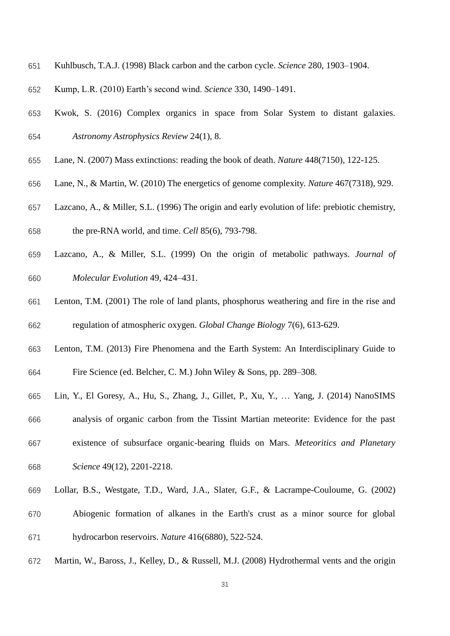- Kuhlbusch, T.A.J. (1998) Black carbon and the carbon cycle. *Science* 280, 1903–1904.
- Kump, L.R. (2010) Earth's second wind. *Science* 330, 1490–1491.
- Kwok, S. (2016) Complex organics in space from Solar System to distant galaxies. *Astronomy Astrophysics Review* 24(1), 8.
- Lane, N. (2007) Mass extinctions: reading the book of death. *Nature* 448(7150), 122-125.
- Lane, N., & Martin, W. (2010) The energetics of genome complexity. *Nature* 467(7318), 929.
- Lazcano, A., & Miller, S.L. (1996) The origin and early evolution of life: prebiotic chemistry,

the pre-RNA world, and time. *Cell* 85(6), 793-798.

- Lazcano, A., & Miller, S.L. (1999) On the origin of metabolic pathways. *Journal of Molecular Evolution* 49, 424–431.
- Lenton, T.M. (2001) The role of land plants, phosphorus weathering and fire in the rise and regulation of atmospheric oxygen. *Global Change Biology* 7(6), 613-629.
- Lenton, T.M. (2013) Fire Phenomena and the Earth System: An Interdisciplinary Guide to Fire Science (ed. Belcher, C. M.) John Wiley & Sons, pp. 289–308.
- Lin, Y., El Goresy, A., Hu, S., Zhang, J., Gillet, P., Xu, Y., … Yang, J. (2014) NanoSIMS analysis of organic carbon from the Tissint Martian meteorite: Evidence for the past existence of subsurface organic-bearing fluids on Mars. *Meteoritics and Planetary*
- *Science* 49(12), 2201-2218.
- Lollar, B.S., Westgate, T.D., Ward, J.A., Slater, G.F., & Lacrampe-Couloume, G. (2002)
- Abiogenic formation of alkanes in the Earth's crust as a minor source for global hydrocarbon reservoirs. *Nature* 416(6880), 522-524.
- Martin, W., Baross, J., Kelley, D., & Russell, M.J. (2008) Hydrothermal vents and the origin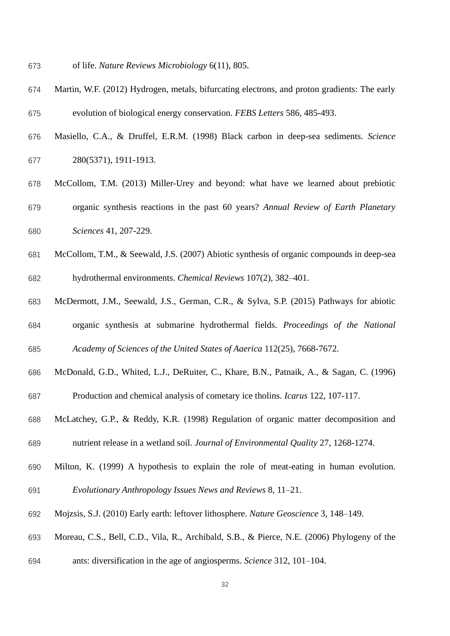- of life. *Nature Reviews Microbiology* 6(11), 805.
- Martin, W.F. (2012) Hydrogen, metals, bifurcating electrons, and proton gradients: The early evolution of biological energy conservation. *FEBS Letters* 586, 485-493.
- Masiello, C.A., & Druffel, E.R.M. (1998) Black carbon in deep-sea sediments. *Science* 280(5371), 1911-1913.
- McCollom, T.M. (2013) Miller-Urey and beyond: what have we learned about prebiotic organic synthesis reactions in the past 60 years? *Annual Review of Earth Planetary Sciences* 41, 207-229.
- McCollom, T.M., & Seewald, J.S. (2007) Abiotic synthesis of organic compounds in deep-sea hydrothermal environments. *Chemical Reviews* 107(2), 382–401.
- McDermott, J.M., Seewald, J.S., German, C.R., & Sylva, S.P. (2015) Pathways for abiotic organic synthesis at submarine hydrothermal fields. *Proceedings of the National*
- *Academy of Sciences of the United States of Aaerica* 112(25), 7668-7672.
- McDonald, G.D., Whited, L.J., DeRuiter, C., Khare, B.N., Patnaik, A., & Sagan, C. (1996)
- Production and chemical analysis of cometary ice tholins. *Icarus* 122, 107-117.
- McLatchey, G.P., & Reddy, K.R. (1998) Regulation of organic matter decomposition and nutrient release in a wetland soil. *Journal of Environmental Quality* 27, 1268-1274.
- Milton, K. (1999) A hypothesis to explain the role of meat-eating in human evolution. *Evolutionary Anthropology Issues News and Reviews* 8, 11–21.
- Mojzsis, S.J. (2010) Early earth: leftover lithosphere. *Nature Geoscience* 3, 148–149.
- Moreau, C.S., Bell, C.D., Vila, R., Archibald, S.B., & Pierce, N.E. (2006) Phylogeny of the
- ants: diversification in the age of angiosperms. *Science* 312, 101–104.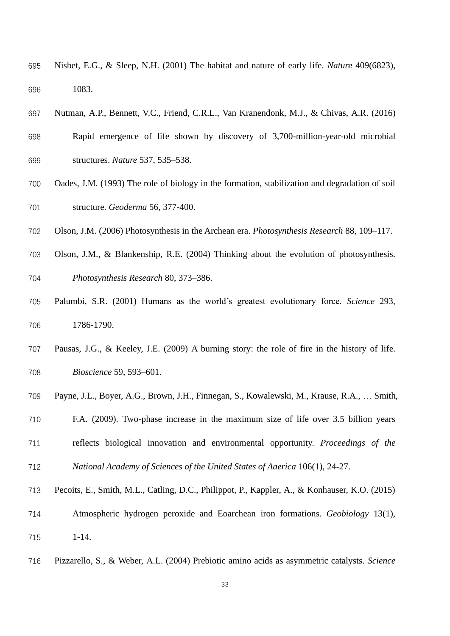- Nisbet, E.G., & Sleep, N.H. (2001) The habitat and nature of early life. *Nature* 409(6823), 1083.
- Nutman, A.P., Bennett, V.C., Friend, C.R.L., Van Kranendonk, M.J., & Chivas, A.R. (2016)
- Rapid emergence of life shown by discovery of 3,700-million-year-old microbial structures. *Nature* 537, 535–538.
- Oades, J.M. (1993) The role of biology in the formation, stabilization and degradation of soil structure. *Geoderma* 56, 377-400.
- Olson, J.M. (2006) Photosynthesis in the Archean era. *Photosynthesis Research* 88, 109–117.
- Olson, J.M., & Blankenship, R.E. (2004) Thinking about the evolution of photosynthesis. *Photosynthesis Research* 80, 373–386.
- Palumbi, S.R. (2001) Humans as the world's greatest evolutionary force. *Science* 293, 1786-1790.
- Pausas, J.G., & Keeley, J.E. (2009) A burning story: the role of fire in the history of life. *Bioscience* 59, 593–601.
- Payne, J.L., Boyer, A.G., Brown, J.H., Finnegan, S., Kowalewski, M., Krause, R.A., … Smith,
- F.A. (2009). Two-phase increase in the maximum size of life over 3.5 billion years reflects biological innovation and environmental opportunity. *Proceedings of the National Academy of Sciences of the United States of Aaerica* 106(1), 24-27.
- Pecoits, E., Smith, M.L., Catling, D.C., Philippot, P., Kappler, A., & Konhauser, K.O. (2015)
- Atmospheric hydrogen peroxide and Eoarchean iron formations. *Geobiology* 13(1), 1-14.
- Pizzarello, S., & Weber, A.L. (2004) Prebiotic amino acids as asymmetric catalysts. *Science*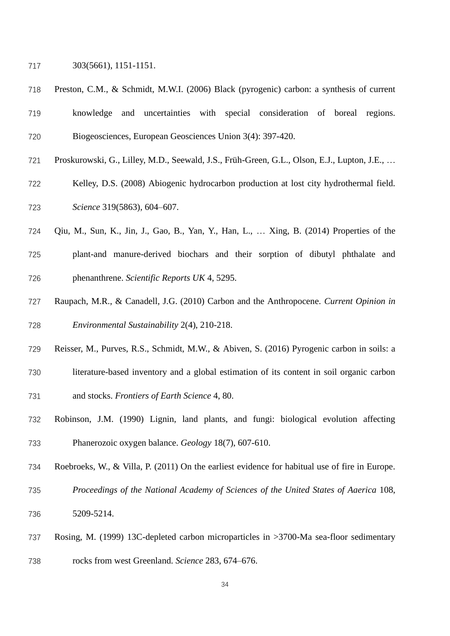303(5661), 1151-1151.

- Preston, C.M., & Schmidt, M.W.I. (2006) Black (pyrogenic) carbon: a synthesis of current
- knowledge and uncertainties with special consideration of boreal regions. Biogeosciences, European Geosciences Union 3(4): 397-420.
- Proskurowski, G., Lilley, M.D., Seewald, J.S., Früh-Green, G.L., Olson, E.J., Lupton, J.E., …
- Kelley, D.S. (2008) Abiogenic hydrocarbon production at lost city hydrothermal field. *Science* 319(5863), 604–607.
- Qiu, M., Sun, K., Jin, J., Gao, B., Yan, Y., Han, L., … Xing, B. (2014) Properties of the
- plant-and manure-derived biochars and their sorption of dibutyl phthalate and phenanthrene. *Scientific Reports UK* 4, 5295.
- Raupach, M.R., & Canadell, J.G. (2010) Carbon and the Anthropocene. *Current Opinion in Environmental Sustainability* 2(4), 210-218.
- Reisser, M., Purves, R.S., Schmidt, M.W., & Abiven, S. (2016) Pyrogenic carbon in soils: a
- literature-based inventory and a global estimation of its content in soil organic carbon
- and stocks. *Frontiers of Earth Science* 4, 80.
- Robinson, J.M. (1990) Lignin, land plants, and fungi: biological evolution affecting Phanerozoic oxygen balance. *Geology* 18(7), 607-610.
- Roebroeks, W., & Villa, P. (2011) On the earliest evidence for habitual use of fire in Europe.
- *Proceedings of the National Academy of Sciences of the United States of Aaerica* 108, 5209-5214.
- Rosing, M. (1999) 13C-depleted carbon microparticles in >3700-Ma sea-floor sedimentary rocks from west Greenland. *Science* 283, 674–676.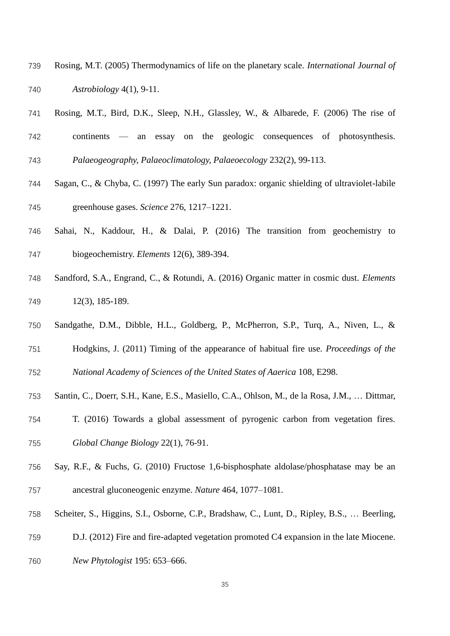- Rosing, M.T. (2005) Thermodynamics of life on the planetary scale. *International Journal of Astrobiology* 4(1), 9-11.
- Rosing, M.T., Bird, D.K., Sleep, N.H., Glassley, W., & Albarede, F. (2006) The rise of
- continents an essay on the geologic consequences of photosynthesis. *Palaeogeography, Palaeoclimatology, Palaeoecology* 232(2), 99-113.
- Sagan, C., & Chyba, C. (1997) The early Sun paradox: organic shielding of ultraviolet-labile
- greenhouse gases. *Science* 276, 1217–1221.
- Sahai, N., Kaddour, H., & Dalai, P. (2016) The transition from geochemistry to biogeochemistry. *Elements* 12(6), 389-394.
- Sandford, S.A., Engrand, C., & Rotundi, A. (2016) Organic matter in cosmic dust. *Elements* 12(3), 185-189.
- Sandgathe, D.M., Dibble, H.L., Goldberg, P., McPherron, S.P., Turq, A., Niven, L., &
- Hodgkins, J. (2011) Timing of the appearance of habitual fire use. *Proceedings of the*
- *National Academy of Sciences of the United States of Aaerica* 108, E298.
- Santin, C., Doerr, S.H., Kane, E.S., Masiello, C.A., Ohlson, M., de la Rosa, J.M., … Dittmar,
- T. (2016) Towards a global assessment of pyrogenic carbon from vegetation fires. *Global Change Biology* 22(1), 76-91.
- Say, R.F., & Fuchs, G. (2010) Fructose 1,6-bisphosphate aldolase/phosphatase may be an ancestral gluconeogenic enzyme. *Nature* 464, 1077–1081.
- Scheiter, S., Higgins, S.I., Osborne, C.P., Bradshaw, C., Lunt, D., Ripley, B.S., … Beerling,
- D.J. (2012) Fire and fire-adapted vegetation promoted C4 expansion in the late Miocene.
- *New Phytologist* 195: 653–666.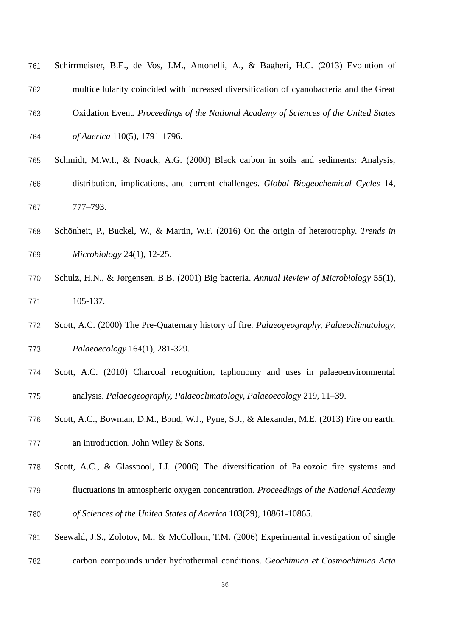| 761 | Schirrmeister, B.E., de Vos, J.M., Antonelli, A., & Bagheri, H.C. (2013) Evolution of    |
|-----|------------------------------------------------------------------------------------------|
| 762 | multicellularity coincided with increased diversification of cyanobacteria and the Great |
| 763 | Oxidation Event. Proceedings of the National Academy of Sciences of the United States    |
| 764 | <i>of Aaerica</i> 110(5), 1791-1796.                                                     |

- Schmidt, M.W.I., & Noack, A.G. (2000) Black carbon in soils and sediments: Analysis, distribution, implications, and current challenges. *Global Biogeochemical Cycles* 14, 777–793.
- Schönheit, P., Buckel, W., & Martin, W.F. (2016) On the origin of heterotrophy. *Trends in Microbiology* 24(1), 12-25.
- Schulz, H.N., & Jørgensen, B.B. (2001) Big bacteria. *Annual Review of Microbiology* 55(1), 105-137.
- Scott, A.C. (2000) The Pre-Quaternary history of fire. *Palaeogeography, Palaeoclimatology, Palaeoecology* 164(1), 281-329.
- Scott, A.C. (2010) Charcoal recognition, taphonomy and uses in palaeoenvironmental analysis. *Palaeogeography, Palaeoclimatology, Palaeoecology* 219, 11–39.
- Scott, A.C., Bowman, D.M., Bond, W.J., Pyne, S.J., & Alexander, M.E. (2013) Fire on earth: an introduction. John Wiley & Sons.
- Scott, A.C., & Glasspool, I.J. (2006) The diversification of Paleozoic fire systems and
- fluctuations in atmospheric oxygen concentration. *Proceedings of the National Academy*
- *of Sciences of the United States of Aaerica* 103(29), 10861-10865.
- Seewald, J.S., Zolotov, M., & McCollom, T.M. (2006) Experimental investigation of single
- carbon compounds under hydrothermal conditions. *Geochimica et Cosmochimica Acta*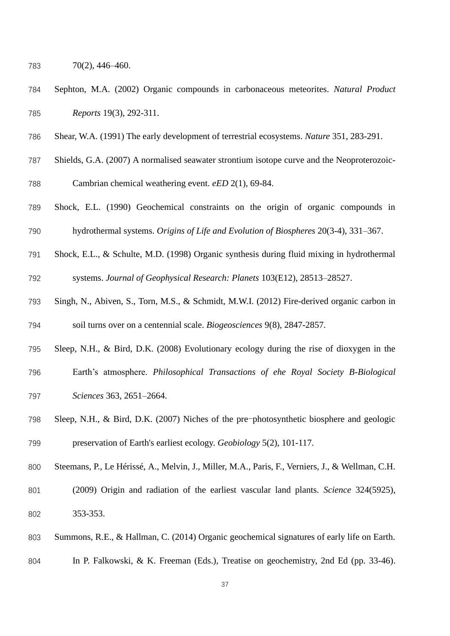- 70(2), 446–460.
- Sephton, M.A. (2002) Organic compounds in carbonaceous meteorites. *Natural Product Reports* 19(3), 292-311.
- Shear, W.A. (1991) The early development of terrestrial ecosystems. *Nature* 351, 283-291.
- Shields, G.A. (2007) A normalised seawater strontium isotope curve and the Neoproterozoic-
- Cambrian chemical weathering event. *eED* 2(1), 69-84.
- Shock, E.L. (1990) Geochemical constraints on the origin of organic compounds in hydrothermal systems. *Origins of Life and Evolution of Biospheres* 20(3-4), 331–367.
- Shock, E.L., & Schulte, M.D. (1998) Organic synthesis during fluid mixing in hydrothermal systems. *Journal of Geophysical Research: Planets* 103(E12), 28513–28527.
- Singh, N., Abiven, S., Torn, M.S., & Schmidt, M.W.I. (2012) Fire-derived organic carbon in soil turns over on a centennial scale. *Biogeosciences* 9(8), 2847-2857.
- Sleep, N.H., & Bird, D.K. (2008) Evolutionary ecology during the rise of dioxygen in the
- Earth's atmosphere. *Philosophical Transactions of ehe Royal Society B-Biological Sciences* 363, 2651–2664.
- Sleep, N.H., & Bird, D.K. (2007) Niches of the pre-photosynthetic biosphere and geologic preservation of Earth's earliest ecology. *Geobiology* 5(2), 101-117.
- Steemans, P., Le Hérissé, A., Melvin, J., Miller, M.A., Paris, F., Verniers, J., & Wellman, C.H.
- (2009) Origin and radiation of the earliest vascular land plants. *Science* 324(5925), 353-353.
- Summons, R.E., & Hallman, C. (2014) Organic geochemical signatures of early life on Earth.
- In P. Falkowski, & K. Freeman (Eds.), Treatise on geochemistry, 2nd Ed (pp. 33-46).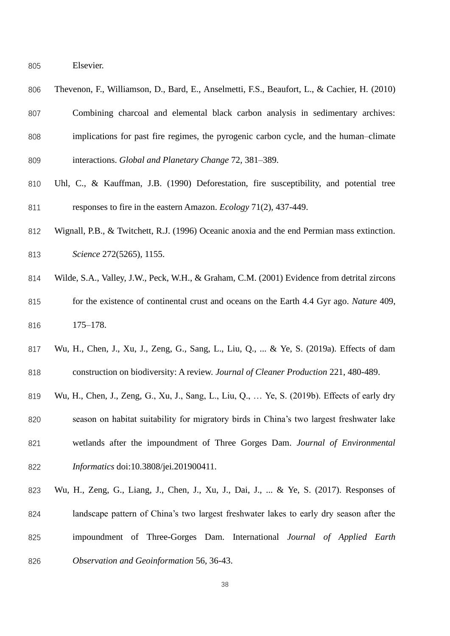Elsevier.

| 806 | Thevenon, F., Williamson, D., Bard, E., Anselmetti, F.S., Beaufort, L., & Cachier, H. (2010) |
|-----|----------------------------------------------------------------------------------------------|
| 807 | Combining charcoal and elemental black carbon analysis in sedimentary archives:              |
| 808 | implications for past fire regimes, the pyrogenic carbon cycle, and the human-climate        |
| 809 | interactions. Global and Planetary Change 72, 381–389.                                       |

- Uhl, C., & Kauffman, J.B. (1990) Deforestation, fire susceptibility, and potential tree responses to fire in the eastern Amazon. *Ecology* 71(2), 437-449.
- Wignall, P.B., & Twitchett, R.J. (1996) Oceanic anoxia and the end Permian mass extinction. *Science* 272(5265), 1155.
- Wilde, S.A., Valley, J.W., Peck, W.H., & Graham, C.M. (2001) Evidence from detrital zircons
- for the existence of continental crust and oceans on the Earth 4.4 Gyr ago. *Nature* 409, 175–178.
- Wu, H., Chen, J., Xu, J., Zeng, G., Sang, L., Liu, Q., ... & Ye, S. (2019a). Effects of dam construction on biodiversity: A review. *Journal of Cleaner Production* 221, 480-489.
- Wu, H., Chen, J., Zeng, G., Xu, J., Sang, L., Liu, Q., … Ye, S. (2019b). Effects of early dry
- season on habitat suitability for migratory birds in China's two largest freshwater lake wetlands after the impoundment of Three Gorges Dam. *Journal of Environmental*
- *Informatics* doi:10.3808/jei.201900411.
- Wu, H., Zeng, G., Liang, J., Chen, J., Xu, J., Dai, J., ... & Ye, S. (2017). Responses of landscape pattern of China's two largest freshwater lakes to early dry season after the impoundment of Three-Gorges Dam. International *Journal of Applied Earth Observation and Geoinformation* 56, 36-43.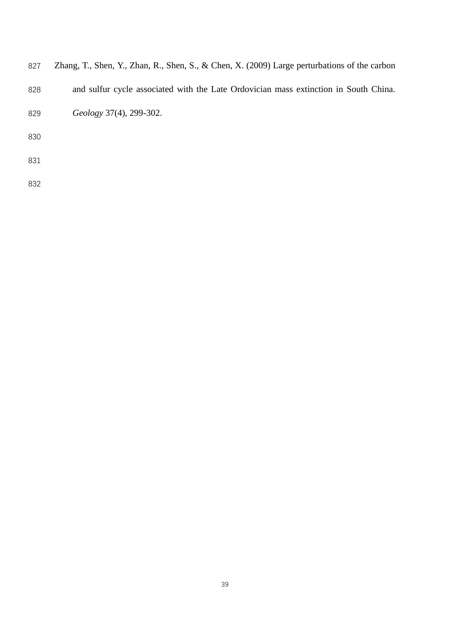| 827 Zhang, T., Shen, Y., Zhan, R., Shen, S., & Chen, X. (2009) Large perturbations of the carbon |  |  |  |  |  |  |  |  |  |  |  |  |  |  |  |  |  |
|--------------------------------------------------------------------------------------------------|--|--|--|--|--|--|--|--|--|--|--|--|--|--|--|--|--|
|--------------------------------------------------------------------------------------------------|--|--|--|--|--|--|--|--|--|--|--|--|--|--|--|--|--|

- and sulfur cycle associated with the Late Ordovician mass extinction in South China.
- *Geology* 37(4), 299-302.
- 
- 
-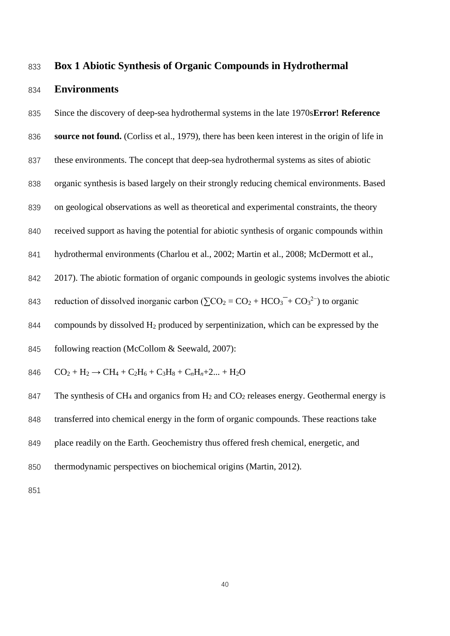# **Box 1 Abiotic Synthesis of Organic Compounds in Hydrothermal**

#### **Environments**

Since the discovery of deep-sea hydrothermal systems in the late 1970s**Error! Reference** 

**source not found.** (Corliss et al., 1979), there has been keen interest in the origin of life in

- these environments. The concept that deep-sea hydrothermal systems as sites of abiotic
- organic synthesis is based largely on their strongly reducing chemical environments. Based

on geological observations as well as theoretical and experimental constraints, the theory

received support as having the potential for abiotic synthesis of organic compounds within

hydrothermal environments (Charlou et al., 2002; Martin et al., 2008; McDermott et al.,

2017). The abiotic formation of organic compounds in geologic systems involves the abiotic

843 reduction of dissolved inorganic carbon  $(\sum CO_2 = CO_2 + HCO_3^- + CO_3^{2-})$  to organic

844 compounds by dissolved  $H_2$  produced by serpentinization, which can be expressed by the

845 following reaction (McCollom & Seewald, 2007):

$$
846 \qquad CO_2 + H_2 \rightarrow CH_4 + C_2H_6 + C_3H_8 + C_nH_n + 2... + H_2O
$$

847 The synthesis of CH<sub>4</sub> and organics from  $H_2$  and CO<sub>2</sub> releases energy. Geothermal energy is

transferred into chemical energy in the form of organic compounds. These reactions take

- place readily on the Earth. Geochemistry thus offered fresh chemical, energetic, and
- thermodynamic perspectives on biochemical origins (Martin, 2012).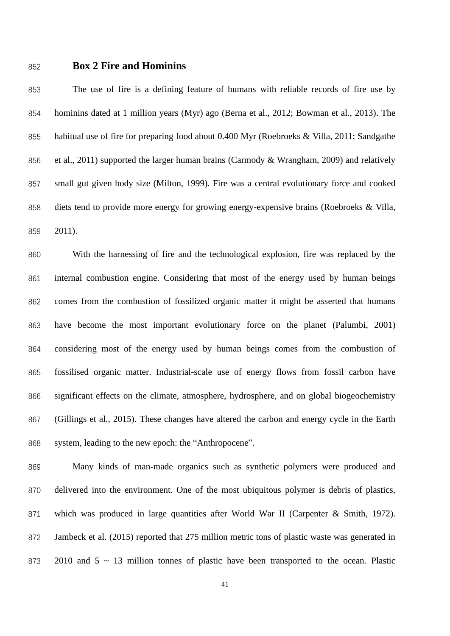## **Box 2 Fire and Hominins**

 The use of fire is a defining feature of humans with reliable records of fire use by hominins dated at 1 million years (Myr) ago (Berna et al., 2012; Bowman et al., 2013). The habitual use of fire for preparing food about 0.400 Myr (Roebroeks & Villa, 2011; Sandgathe 856 et al., 2011) supported the larger human brains (Carmody & Wrangham, 2009) and relatively small gut given body size (Milton, 1999). Fire was a central evolutionary force and cooked diets tend to provide more energy for growing energy-expensive brains (Roebroeks & Villa, 2011).

 With the harnessing of fire and the technological explosion, fire was replaced by the internal combustion engine. Considering that most of the energy used by human beings comes from the combustion of fossilized organic matter it might be asserted that humans have become the most important evolutionary force on the planet (Palumbi, 2001) considering most of the energy used by human beings comes from the combustion of fossilised organic matter. Industrial-scale use of energy flows from fossil carbon have significant effects on the climate, atmosphere, hydrosphere, and on global biogeochemistry (Gillings et al., 2015). These changes have altered the carbon and energy cycle in the Earth system, leading to the new epoch: the "Anthropocene".

 Many kinds of man-made organics such as synthetic polymers were produced and 870 delivered into the environment. One of the most ubiquitous polymer is debris of plastics, which was produced in large quantities after World War II (Carpenter & Smith, 1972). Jambeck et al. (2015) reported that 275 million metric tons of plastic waste was generated in 873 2010 and 5 ~ 13 million tonnes of plastic have been transported to the ocean. Plastic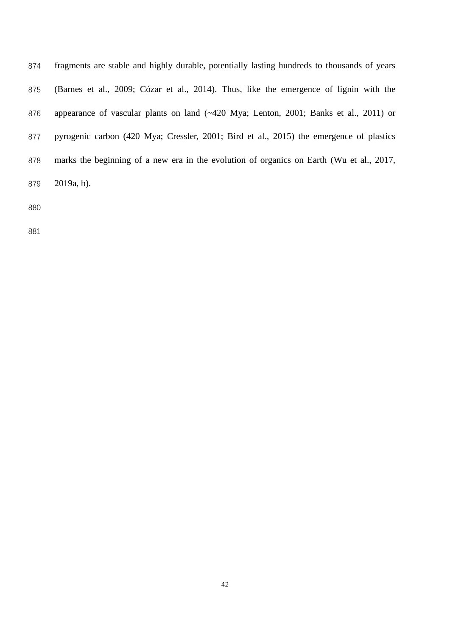| 874 | fragments are stable and highly durable, potentially lasting hundreds to thousands of years                                  |
|-----|------------------------------------------------------------------------------------------------------------------------------|
| 875 | (Barnes et al., 2009; Cózar et al., 2014). Thus, like the emergence of lignin with the                                       |
| 876 | appearance of vascular plants on land $(\sim 420 \text{ Mya}; \text{ Lenton}, 2001; \text{ Banks} \text{ et al., } 2011)$ or |
| 877 | pyrogenic carbon (420 Mya; Cressler, 2001; Bird et al., 2015) the emergence of plastics                                      |
| 878 | marks the beginning of a new era in the evolution of organics on Earth (Wu et al., 2017,                                     |
| 879 | $2019a, b)$ .                                                                                                                |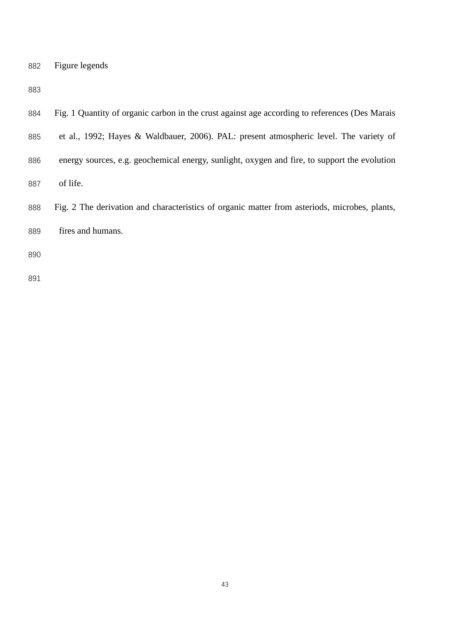| 882 | Figure legends |
|-----|----------------|
|     |                |

| 884 | Fig. 1 Quantity of organic carbon in the crust against age according to references (Des Marais |
|-----|------------------------------------------------------------------------------------------------|
| 885 | et al., 1992; Hayes & Waldbauer, 2006). PAL: present atmospheric level. The variety of         |
| 886 | energy sources, e.g. geochemical energy, sunlight, oxygen and fire, to support the evolution   |
| 887 | of life.                                                                                       |
| 888 | Fig. 2 The derivation and characteristics of organic matter from asteriods, microbes, plants,  |
| 889 | fires and humans.                                                                              |
| 890 |                                                                                                |
| 891 |                                                                                                |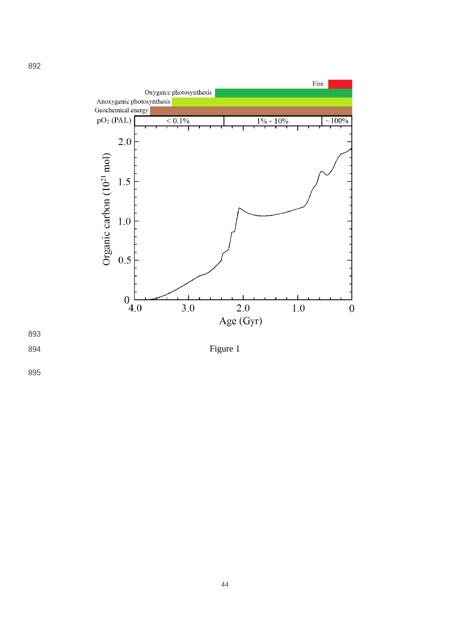



**Figure 1**